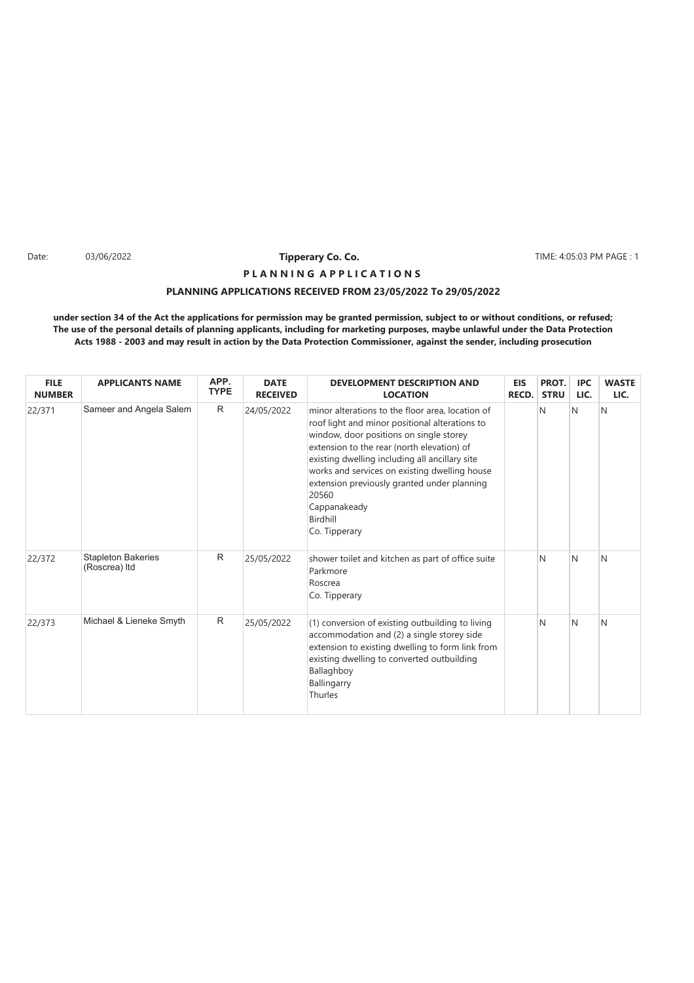Date: 03/06/2022 **12/05:03 PM PAGE : 13/06/2022 10/06/2022 10/06/2022 10/06/2022 10/06/2022 10/06/2022 10/06/2022 10/06/2022 10/06/2022 10/06/2022 10/06/2022 10/06/2022 10/06/2022 10/06/2022 10/** 

# **PLANNING APPLICATIONS RECEIVED FROM 23/05/2022 To 29/05/2022 P L A N N I N G A P P L I C A T I O N S**

| <b>FILE</b><br><b>NUMBER</b> | <b>APPLICANTS NAME</b>                     | APP.<br><b>TYPE</b> | <b>DATE</b><br><b>RECEIVED</b> | <b>DEVELOPMENT DESCRIPTION AND</b><br><b>LOCATION</b>                                                                                                                                                                                                                                                                                                                                               | <b>EIS</b><br>RECD. | PROT.<br><b>STRU</b> | <b>IPC</b><br>LIC. | <b>WASTE</b><br>LIC. |
|------------------------------|--------------------------------------------|---------------------|--------------------------------|-----------------------------------------------------------------------------------------------------------------------------------------------------------------------------------------------------------------------------------------------------------------------------------------------------------------------------------------------------------------------------------------------------|---------------------|----------------------|--------------------|----------------------|
| 22/371                       | Sameer and Angela Salem                    | R                   | 24/05/2022                     | minor alterations to the floor area, location of<br>roof light and minor positional alterations to<br>window, door positions on single storey<br>extension to the rear (north elevation) of<br>existing dwelling including all ancillary site<br>works and services on existing dwelling house<br>extension previously granted under planning<br>20560<br>Cappanakeady<br>Birdhill<br>Co. Tipperary |                     | N                    | N                  | N                    |
| 22/372                       | <b>Stapleton Bakeries</b><br>(Roscrea) Itd | R                   | 25/05/2022                     | shower toilet and kitchen as part of office suite<br>Parkmore<br>Roscrea<br>Co. Tipperary                                                                                                                                                                                                                                                                                                           |                     | N                    | N                  | N                    |
| 22/373                       | Michael & Lieneke Smyth                    | R                   | 25/05/2022                     | (1) conversion of existing outbuilding to living<br>accommodation and (2) a single storey side<br>extension to existing dwelling to form link from<br>existing dwelling to converted outbuilding<br>Ballaghboy<br>Ballingarry<br>Thurles                                                                                                                                                            |                     | N                    | N                  | N                    |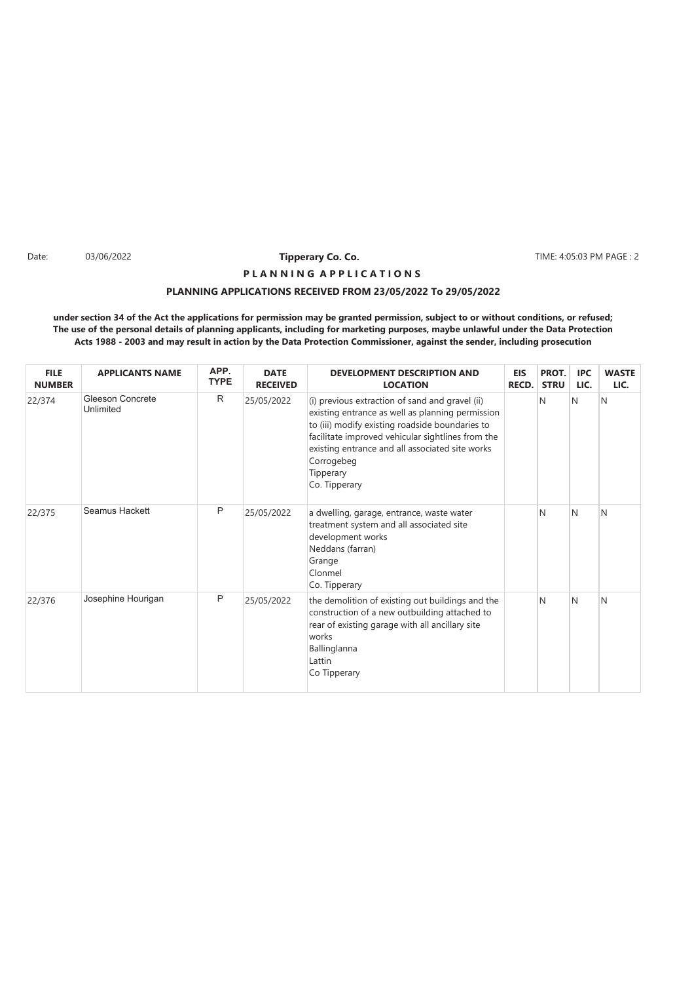Date: 03/06/2022 **Tipperary Co. Co. The Co. 2008 TIME: 4:05:03 PM PAGE : 2** 

# **PLANNING APPLICATIONS RECEIVED FROM 23/05/2022 To 29/05/2022 P L A N N I N G A P P L I C A T I O N S**

| <b>FILE</b><br><b>NUMBER</b> | <b>APPLICANTS NAME</b>               | APP.<br><b>TYPE</b> | <b>DATE</b><br><b>RECEIVED</b> | <b>DEVELOPMENT DESCRIPTION AND</b><br><b>LOCATION</b>                                                                                                                                                                                                                                                      | <b>EIS</b><br>RECD. | PROT.<br><b>STRU</b> | <b>IPC</b><br>LIC. | <b>WASTE</b><br>LIC. |
|------------------------------|--------------------------------------|---------------------|--------------------------------|------------------------------------------------------------------------------------------------------------------------------------------------------------------------------------------------------------------------------------------------------------------------------------------------------------|---------------------|----------------------|--------------------|----------------------|
| 22/374                       | <b>Gleeson Concrete</b><br>Unlimited | $\mathsf{R}$        | 25/05/2022                     | (i) previous extraction of sand and gravel (ii)<br>existing entrance as well as planning permission<br>to (iii) modify existing roadside boundaries to<br>facilitate improved vehicular sightlines from the<br>existing entrance and all associated site works<br>Corrogebeg<br>Tipperary<br>Co. Tipperary |                     | N                    | N                  | N                    |
| 22/375                       | <b>Seamus Hackett</b>                | P                   | 25/05/2022                     | a dwelling, garage, entrance, waste water<br>treatment system and all associated site<br>development works<br>Neddans (farran)<br>Grange<br>Clonmel<br>Co. Tipperary                                                                                                                                       |                     | N                    | N                  | N                    |
| 22/376                       | Josephine Hourigan                   | P                   | 25/05/2022                     | the demolition of existing out buildings and the<br>construction of a new outbuilding attached to<br>rear of existing garage with all ancillary site<br>works<br>Ballinglanna<br>Lattin<br>Co Tipperary                                                                                                    |                     | N                    | N                  | N                    |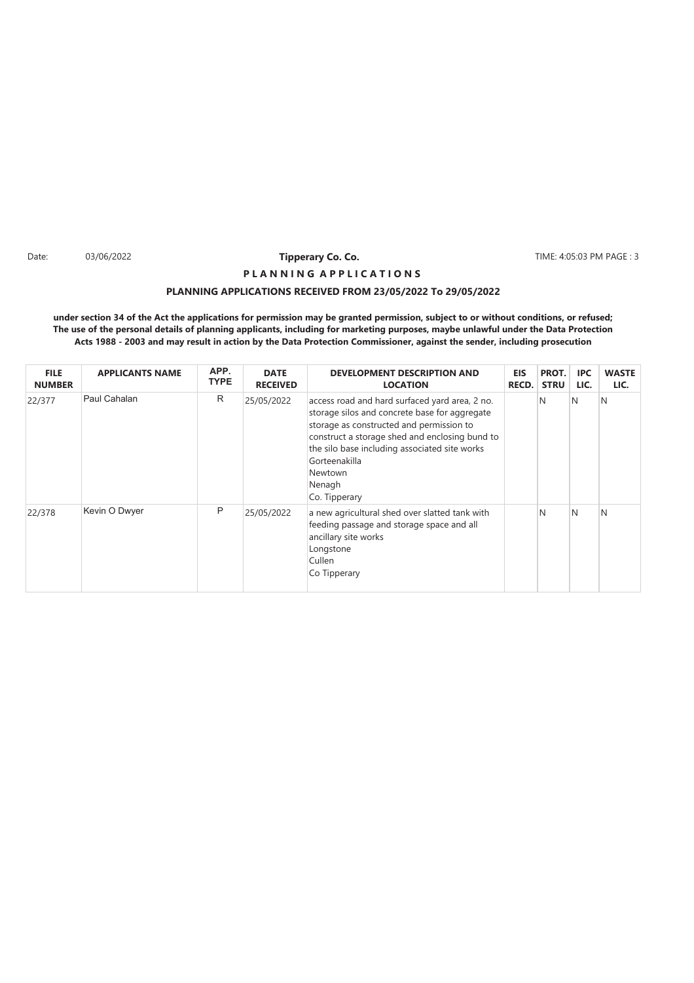Date: 03/06/2022 **Tipperary Co. Co. The Co. 2008 TIME: 4:05:03 PM PAGE : 3** 

# **PLANNING APPLICATIONS RECEIVED FROM 23/05/2022 To 29/05/2022 P L A N N I N G A P P L I C A T I O N S**

| <b>FILE</b><br><b>NUMBER</b> | <b>APPLICANTS NAME</b> | APP.<br><b>TYPE</b> | <b>DATE</b><br><b>RECEIVED</b> | <b>DEVELOPMENT DESCRIPTION AND</b><br><b>LOCATION</b>                                                                                                                                                                                                                                                 | EIS<br><b>RECD.</b> | PROT.<br><b>STRU</b> | <b>IPC</b><br>LIC. | <b>WASTE</b><br>LIC. |
|------------------------------|------------------------|---------------------|--------------------------------|-------------------------------------------------------------------------------------------------------------------------------------------------------------------------------------------------------------------------------------------------------------------------------------------------------|---------------------|----------------------|--------------------|----------------------|
| 22/377                       | Paul Cahalan           | R                   | 25/05/2022                     | access road and hard surfaced yard area, 2 no.<br>storage silos and concrete base for aggregate<br>storage as constructed and permission to<br>construct a storage shed and enclosing bund to<br>the silo base including associated site works<br>Gorteenakilla<br>Newtown<br>Nenagh<br>Co. Tipperary |                     | N                    | N                  | N                    |
| 22/378                       | Kevin O Dwyer          | P                   | 25/05/2022                     | a new agricultural shed over slatted tank with<br>feeding passage and storage space and all<br>ancillary site works<br>Longstone<br>Cullen<br>Co Tipperary                                                                                                                                            |                     | N                    | N                  | N                    |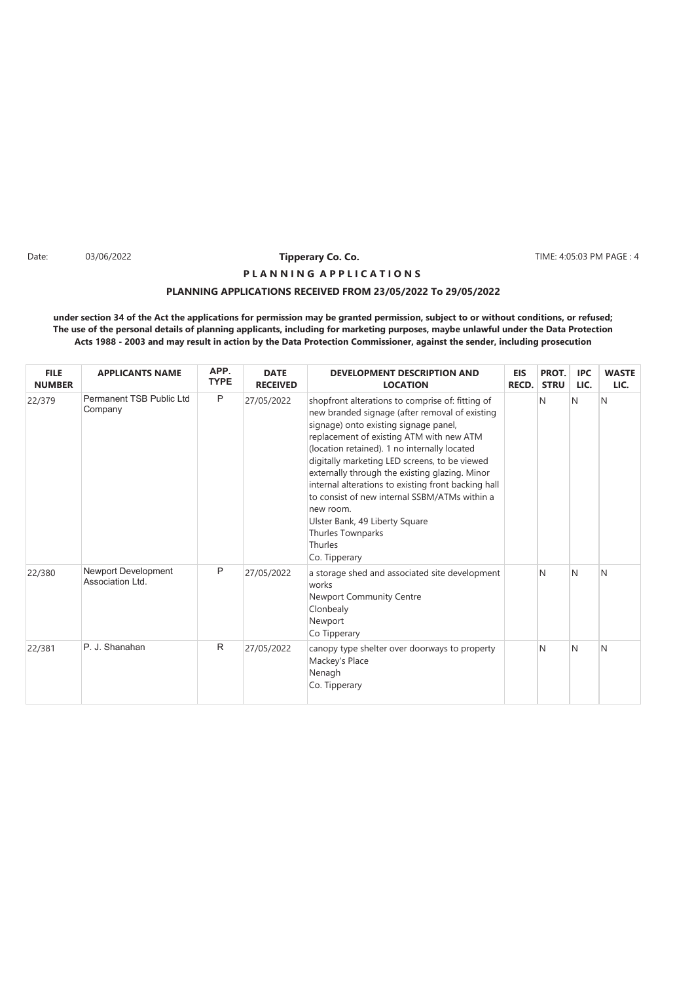Date: 03/06/2022 **Tipperary Co. Co. The Co. 1999 Co. 2014** TIME: 4:05:03 PM PAGE : 4

# **PLANNING APPLICATIONS RECEIVED FROM 23/05/2022 To 29/05/2022 P L A N N I N G A P P L I C A T I O N S**

| <b>FILE</b><br><b>NUMBER</b> | <b>APPLICANTS NAME</b>                  | APP.<br><b>TYPE</b> | <b>DATE</b><br><b>RECEIVED</b> | <b>DEVELOPMENT DESCRIPTION AND</b><br><b>LOCATION</b>                                                                                                                                                                                                                                                                                                                                                                                                                                                                                              | <b>EIS</b><br>RECD. | PROT.<br><b>STRU</b> | <b>IPC</b><br>LIC. | <b>WASTE</b><br>LIC. |
|------------------------------|-----------------------------------------|---------------------|--------------------------------|----------------------------------------------------------------------------------------------------------------------------------------------------------------------------------------------------------------------------------------------------------------------------------------------------------------------------------------------------------------------------------------------------------------------------------------------------------------------------------------------------------------------------------------------------|---------------------|----------------------|--------------------|----------------------|
| 22/379                       | Permanent TSB Public Ltd<br>Company     | P                   | 27/05/2022                     | shopfront alterations to comprise of: fitting of<br>new branded signage (after removal of existing<br>signage) onto existing signage panel,<br>replacement of existing ATM with new ATM<br>(location retained). 1 no internally located<br>digitally marketing LED screens, to be viewed<br>externally through the existing glazing. Minor<br>internal alterations to existing front backing hall<br>to consist of new internal SSBM/ATMs within a<br>new room.<br>Ulster Bank, 49 Liberty Square<br>Thurles Townparks<br>Thurles<br>Co. Tipperary |                     | N                    | N                  | N                    |
| 22/380                       | Newport Development<br>Association Ltd. | P                   | 27/05/2022                     | a storage shed and associated site development<br>works<br>Newport Community Centre<br>Clonbealy<br>Newport<br>Co Tipperary                                                                                                                                                                                                                                                                                                                                                                                                                        |                     | N                    | N                  | N                    |
| 22/381                       | P. J. Shanahan                          | $\mathsf{R}$        | 27/05/2022                     | canopy type shelter over doorways to property<br>Mackey's Place<br>Nenagh<br>Co. Tipperary                                                                                                                                                                                                                                                                                                                                                                                                                                                         |                     | N                    | N                  | N                    |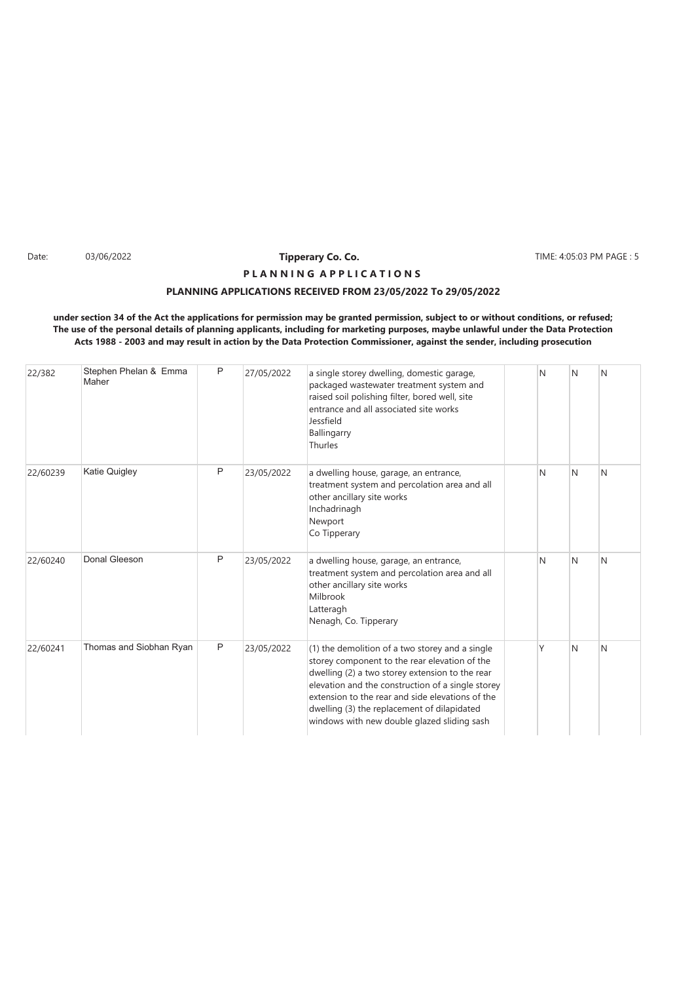Date: 03/06/2022 **Tipperary Co. Co. The Co. 2008 TIME: 4:05:03 PM PAGE : 5** 

# **PLANNING APPLICATIONS RECEIVED FROM 23/05/2022 To 29/05/2022 P L A N N I N G A P P L I C A T I O N S**

| 22/382   | Stephen Phelan & Emma<br>Maher | P | 27/05/2022 | a single storey dwelling, domestic garage,<br>packaged wastewater treatment system and<br>raised soil polishing filter, bored well, site<br>entrance and all associated site works<br>Jessfield<br>Ballingarry<br>Thurles                                                                                                                                  | N | N | N |
|----------|--------------------------------|---|------------|------------------------------------------------------------------------------------------------------------------------------------------------------------------------------------------------------------------------------------------------------------------------------------------------------------------------------------------------------------|---|---|---|
| 22/60239 | Katie Quigley                  | P | 23/05/2022 | a dwelling house, garage, an entrance,<br>treatment system and percolation area and all<br>other ancillary site works<br>Inchadrinagh<br>Newport<br>Co Tipperary                                                                                                                                                                                           | N | N | N |
| 22/60240 | Donal Gleeson                  | P | 23/05/2022 | a dwelling house, garage, an entrance,<br>treatment system and percolation area and all<br>other ancillary site works<br>Milbrook<br>Latteragh<br>Nenagh, Co. Tipperary                                                                                                                                                                                    | N | N | N |
| 22/60241 | Thomas and Siobhan Ryan        | P | 23/05/2022 | (1) the demolition of a two storey and a single<br>storey component to the rear elevation of the<br>dwelling (2) a two storey extension to the rear<br>elevation and the construction of a single storey<br>extension to the rear and side elevations of the<br>dwelling (3) the replacement of dilapidated<br>windows with new double glazed sliding sash | Υ | N | N |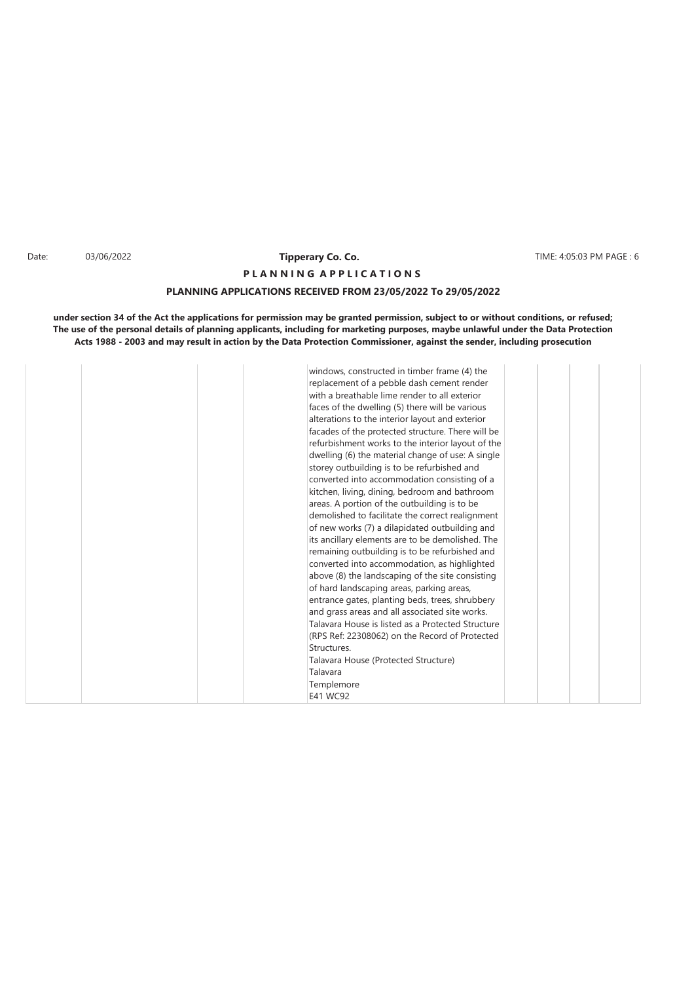### Date: 03/06/2022 **Tipperary Co. Co. The Co. 2008** TIME: 4:05:03 PM PAGE : 6 **Tipperary Co. Co. P L A N N I N G A P P L I C A T I O N S**

### **PLANNING APPLICATIONS RECEIVED FROM 23/05/2022 To 29/05/2022**

|  | windows, constructed in timber frame (4) the<br>replacement of a pebble dash cement render<br>with a breathable lime render to all exterior<br>faces of the dwelling (5) there will be various<br>alterations to the interior layout and exterior<br>facades of the protected structure. There will be<br>refurbishment works to the interior layout of the<br>dwelling (6) the material change of use: A single<br>storey outbuilding is to be refurbished and<br>converted into accommodation consisting of a<br>kitchen, living, dining, bedroom and bathroom<br>areas. A portion of the outbuilding is to be<br>demolished to facilitate the correct realignment<br>of new works (7) a dilapidated outbuilding and<br>its ancillary elements are to be demolished. The<br>remaining outbuilding is to be refurbished and<br>converted into accommodation, as highlighted<br>above (8) the landscaping of the site consisting<br>of hard landscaping areas, parking areas,<br>entrance gates, planting beds, trees, shrubbery<br>and grass areas and all associated site works.<br>Talavara House is listed as a Protected Structure<br>(RPS Ref: 22308062) on the Record of Protected<br>Structures.<br>Talavara House (Protected Structure)<br>Talavara<br>Templemore<br>E41 WC92 |  |  |  |  |
|--|----------------------------------------------------------------------------------------------------------------------------------------------------------------------------------------------------------------------------------------------------------------------------------------------------------------------------------------------------------------------------------------------------------------------------------------------------------------------------------------------------------------------------------------------------------------------------------------------------------------------------------------------------------------------------------------------------------------------------------------------------------------------------------------------------------------------------------------------------------------------------------------------------------------------------------------------------------------------------------------------------------------------------------------------------------------------------------------------------------------------------------------------------------------------------------------------------------------------------------------------------------------------------------------|--|--|--|--|
|--|----------------------------------------------------------------------------------------------------------------------------------------------------------------------------------------------------------------------------------------------------------------------------------------------------------------------------------------------------------------------------------------------------------------------------------------------------------------------------------------------------------------------------------------------------------------------------------------------------------------------------------------------------------------------------------------------------------------------------------------------------------------------------------------------------------------------------------------------------------------------------------------------------------------------------------------------------------------------------------------------------------------------------------------------------------------------------------------------------------------------------------------------------------------------------------------------------------------------------------------------------------------------------------------|--|--|--|--|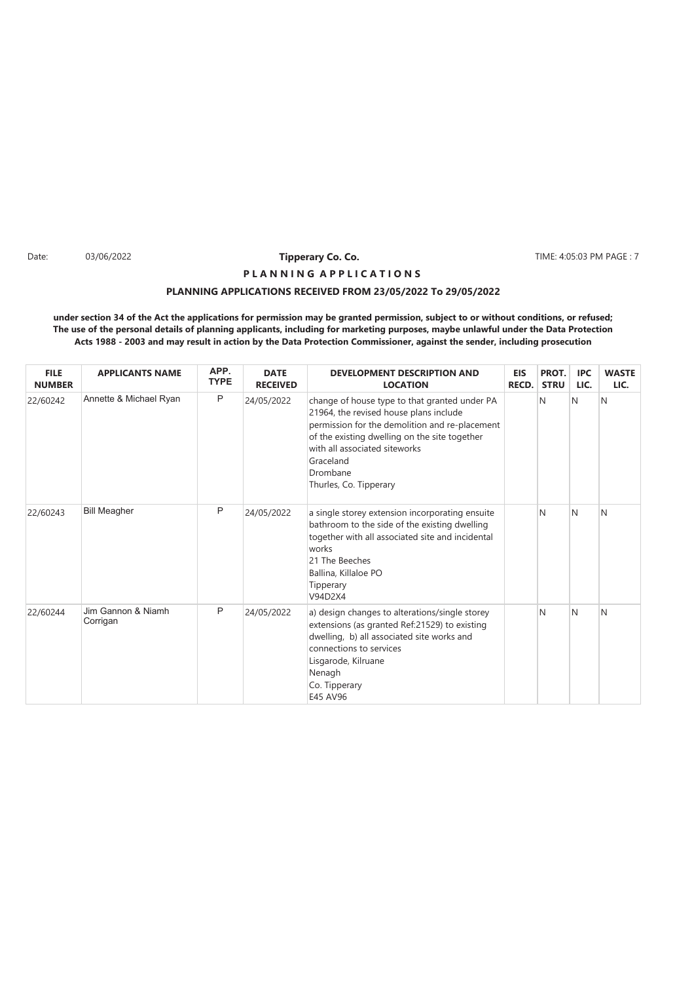Date: 03/06/2022 **Tipperary Co. Co. The Co. 2008 TIME: 4:05:03 PM PAGE : 7** 

# **PLANNING APPLICATIONS RECEIVED FROM 23/05/2022 To 29/05/2022 P L A N N I N G A P P L I C A T I O N S**

| <b>FILE</b><br><b>NUMBER</b> | <b>APPLICANTS NAME</b>         | APP.<br><b>TYPE</b> | <b>DATE</b><br><b>RECEIVED</b> | <b>DEVELOPMENT DESCRIPTION AND</b><br><b>LOCATION</b>                                                                                                                                                                                                                          | <b>EIS</b><br>RECD. | PROT.<br><b>STRU</b> | <b>IPC</b><br>LIC. | <b>WASTE</b><br>LIC. |
|------------------------------|--------------------------------|---------------------|--------------------------------|--------------------------------------------------------------------------------------------------------------------------------------------------------------------------------------------------------------------------------------------------------------------------------|---------------------|----------------------|--------------------|----------------------|
| 22/60242                     | Annette & Michael Ryan         | P                   | 24/05/2022                     | change of house type to that granted under PA<br>21964, the revised house plans include<br>permission for the demolition and re-placement<br>of the existing dwelling on the site together<br>with all associated siteworks<br>Graceland<br>Drombane<br>Thurles, Co. Tipperary |                     | N                    | N                  | N                    |
| 22/60243                     | <b>Bill Meagher</b>            | P                   | 24/05/2022                     | a single storey extension incorporating ensuite<br>bathroom to the side of the existing dwelling<br>together with all associated site and incidental<br>works<br>21 The Beeches<br>Ballina, Killaloe PO<br>Tipperary<br>V94D2X4                                                |                     | N                    | N                  | N                    |
| 22/60244                     | Jim Gannon & Niamh<br>Corrigan | P                   | 24/05/2022                     | a) design changes to alterations/single storey<br>extensions (as granted Ref:21529) to existing<br>dwelling, b) all associated site works and<br>connections to services<br>Lisgarode, Kilruane<br>Nenagh<br>Co. Tipperary<br>E45 AV96                                         |                     | N                    | N                  | N                    |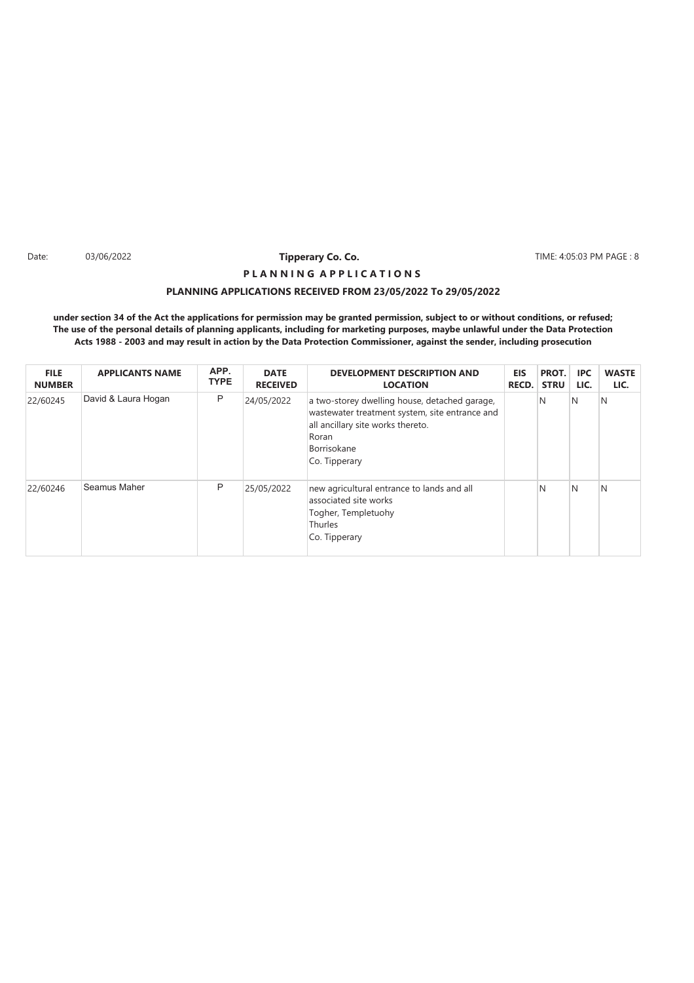Date: 03/06/2022 **Tipperary Co. Co. The Co. 2008 TIME: 4:05:03 PM PAGE : 8** 

# **PLANNING APPLICATIONS RECEIVED FROM 23/05/2022 To 29/05/2022 P L A N N I N G A P P L I C A T I O N S**

| <b>FILE</b><br><b>NUMBER</b> | <b>APPLICANTS NAME</b> | APP.<br><b>TYPE</b> | <b>DATE</b><br><b>RECEIVED</b> | <b>DEVELOPMENT DESCRIPTION AND</b><br><b>LOCATION</b>                                                                                                                         | <b>EIS</b><br><b>RECD.</b> | PROT.<br><b>STRU</b> | <b>IPC</b><br>LIC. | <b>WASTE</b><br>LIC. |
|------------------------------|------------------------|---------------------|--------------------------------|-------------------------------------------------------------------------------------------------------------------------------------------------------------------------------|----------------------------|----------------------|--------------------|----------------------|
| 22/60245                     | David & Laura Hogan    | P                   | 24/05/2022                     | a two-storey dwelling house, detached garage,<br>wastewater treatment system, site entrance and<br>all ancillary site works thereto.<br>Roran<br>Borrisokane<br>Co. Tipperary |                            | N                    | N                  | N                    |
| 22/60246                     | Seamus Maher           | P                   | 25/05/2022                     | new agricultural entrance to lands and all<br>associated site works<br>Togher, Templetuohy<br>Thurles<br>Co. Tipperary                                                        |                            | N                    | N                  | N                    |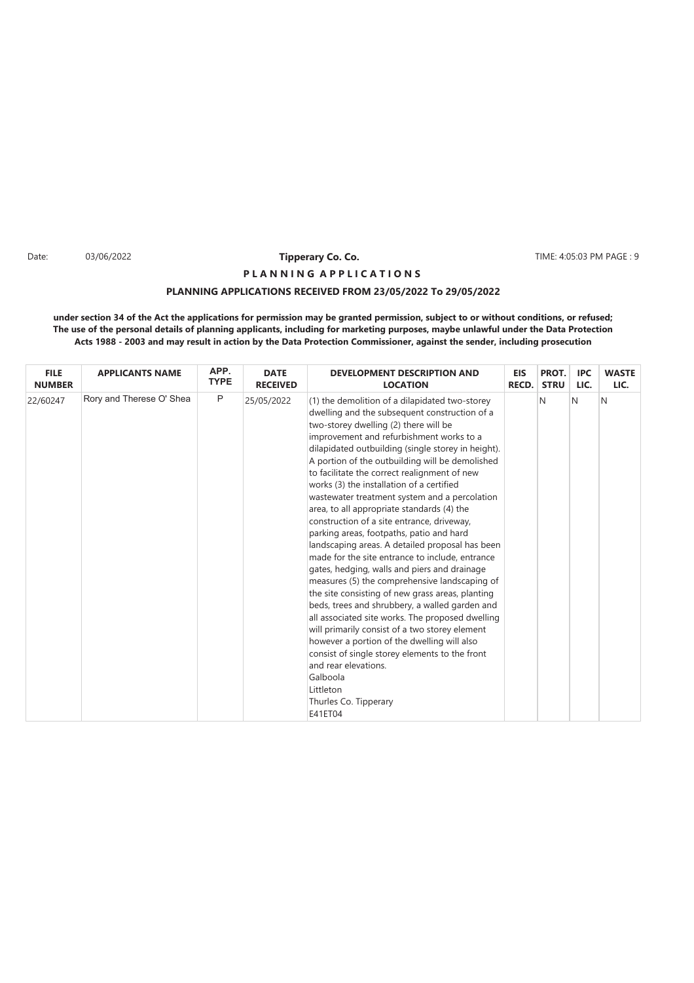Date: 03/06/2022 **Tipperary Co. Co. The Co. 2006 TIME: 4:05:03 PM PAGE : 9** 

# **PLANNING APPLICATIONS RECEIVED FROM 23/05/2022 To 29/05/2022 P L A N N I N G A P P L I C A T I O N S**

| <b>FILE</b>   | <b>APPLICANTS NAME</b>   | APP.         | <b>DATE</b>     | <b>DEVELOPMENT DESCRIPTION AND</b>                                                                                                                                                                                                                                                                                                                                                                                                                                                                                                                                                                                                                                                                                                                                                                                                                                                                                                                                                                                                                                                                                                                                                           | <b>EIS</b>   | PROT.       | <b>IPC</b> | <b>WASTE</b> |
|---------------|--------------------------|--------------|-----------------|----------------------------------------------------------------------------------------------------------------------------------------------------------------------------------------------------------------------------------------------------------------------------------------------------------------------------------------------------------------------------------------------------------------------------------------------------------------------------------------------------------------------------------------------------------------------------------------------------------------------------------------------------------------------------------------------------------------------------------------------------------------------------------------------------------------------------------------------------------------------------------------------------------------------------------------------------------------------------------------------------------------------------------------------------------------------------------------------------------------------------------------------------------------------------------------------|--------------|-------------|------------|--------------|
| <b>NUMBER</b> |                          | <b>TYPE</b>  | <b>RECEIVED</b> | <b>LOCATION</b>                                                                                                                                                                                                                                                                                                                                                                                                                                                                                                                                                                                                                                                                                                                                                                                                                                                                                                                                                                                                                                                                                                                                                                              | <b>RECD.</b> | <b>STRU</b> | LIC.       | LIC.         |
| 22/60247      | Rory and Therese O' Shea | $\mathsf{P}$ | 25/05/2022      | (1) the demolition of a dilapidated two-storey<br>dwelling and the subsequent construction of a<br>two-storey dwelling (2) there will be<br>improvement and refurbishment works to a<br>dilapidated outbuilding (single storey in height).<br>A portion of the outbuilding will be demolished<br>to facilitate the correct realignment of new<br>works (3) the installation of a certified<br>wastewater treatment system and a percolation<br>area, to all appropriate standards (4) the<br>construction of a site entrance, driveway,<br>parking areas, footpaths, patio and hard<br>landscaping areas. A detailed proposal has been<br>made for the site entrance to include, entrance<br>gates, hedging, walls and piers and drainage<br>measures (5) the comprehensive landscaping of<br>the site consisting of new grass areas, planting<br>beds, trees and shrubbery, a walled garden and<br>all associated site works. The proposed dwelling<br>will primarily consist of a two storey element<br>however a portion of the dwelling will also<br>consist of single storey elements to the front<br>and rear elevations.<br>Galboola<br>Littleton<br>Thurles Co. Tipperary<br>E41ET04 |              | N           | N          | N            |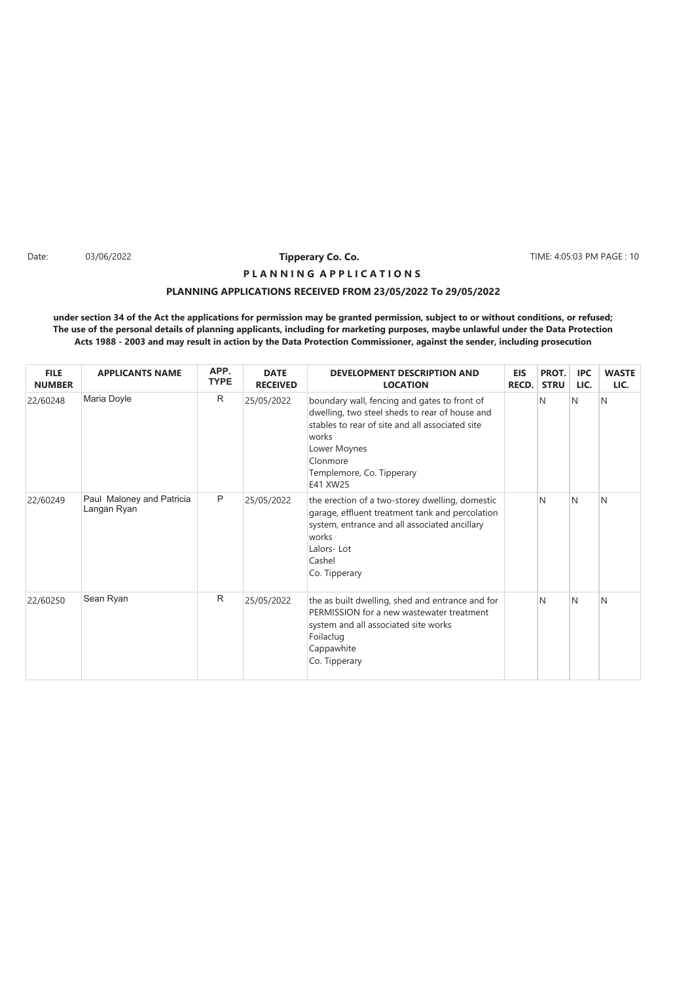Date: 03/06/2022 **Time:** 10 **Time Page 10 12 12 13 PM PAGE : 10** 11ME: 4:05:03 PM PAGE : 10

# **P L A N N I N G A P P L I C A T I O N S**

# **PLANNING APPLICATIONS RECEIVED FROM 23/05/2022 To 29/05/2022**

| <b>FILE</b><br><b>NUMBER</b> | <b>APPLICANTS NAME</b>                   | APP.<br><b>TYPE</b> | <b>DATE</b><br><b>RECEIVED</b> | <b>DEVELOPMENT DESCRIPTION AND</b><br><b>LOCATION</b>                                                                                                                                                                           | <b>EIS</b><br><b>RECD.</b> | PROT.<br><b>STRU</b> | <b>IPC</b><br>LIC. | <b>WASTE</b><br>LIC. |
|------------------------------|------------------------------------------|---------------------|--------------------------------|---------------------------------------------------------------------------------------------------------------------------------------------------------------------------------------------------------------------------------|----------------------------|----------------------|--------------------|----------------------|
| 22/60248                     | Maria Doyle                              | R                   | 25/05/2022                     | boundary wall, fencing and gates to front of<br>dwelling, two steel sheds to rear of house and<br>stables to rear of site and all associated site<br>works<br>Lower Moynes<br>Clonmore<br>Templemore, Co. Tipperary<br>E41 XW25 |                            | N                    | N                  | N                    |
| 22/60249                     | Paul Maloney and Patricia<br>Langan Ryan | P                   | 25/05/2022                     | the erection of a two-storey dwelling, domestic<br>garage, effluent treatment tank and percolation<br>system, entrance and all associated ancillary<br>works<br>Lalors-Lot<br>Cashel<br>Co. Tipperary                           |                            | N                    | N                  | N                    |
| 22/60250                     | Sean Ryan                                | R                   | 25/05/2022                     | the as built dwelling, shed and entrance and for<br>PERMISSION for a new wastewater treatment<br>system and all associated site works<br>Foilaclug<br>Cappawhite<br>Co. Tipperary                                               |                            | N                    | N                  | N                    |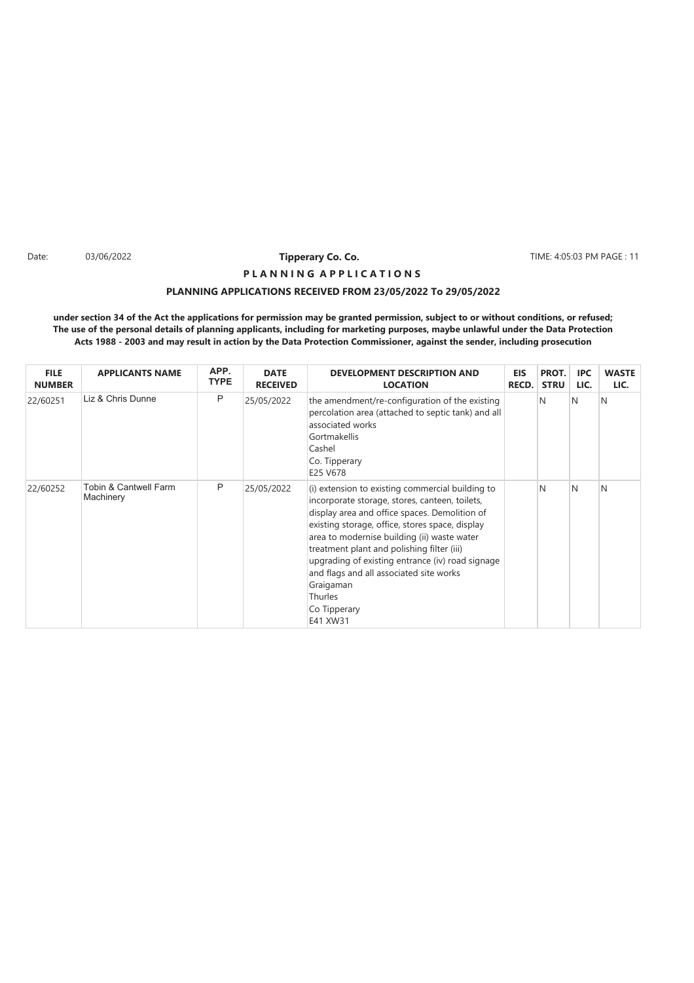Date: TIME: 4:05:03 PM PAGE : 11

# **PLANNING APPLICATIONS RECEIVED FROM 23/05/2022 To 29/05/2022 P L A N N I N G A P P L I C A T I O N S**

| <b>FILE</b><br><b>NUMBER</b> | <b>APPLICANTS NAME</b>                        | APP.<br><b>TYPE</b> | <b>DATE</b><br><b>RECEIVED</b> | <b>DEVELOPMENT DESCRIPTION AND</b><br><b>LOCATION</b>                                                                                                                                                                                                                                                                                                                                                                                                  | EIS<br><b>RECD.</b> | PROT.<br><b>STRU</b> | IPC<br>LIC. | <b>WASTE</b><br>LIC. |
|------------------------------|-----------------------------------------------|---------------------|--------------------------------|--------------------------------------------------------------------------------------------------------------------------------------------------------------------------------------------------------------------------------------------------------------------------------------------------------------------------------------------------------------------------------------------------------------------------------------------------------|---------------------|----------------------|-------------|----------------------|
| 22/60251                     | Liz & Chris Dunne                             | P                   | 25/05/2022                     | the amendment/re-configuration of the existing<br>percolation area (attached to septic tank) and all<br>associated works<br>Gortmakellis<br>Cashel<br>Co. Tipperary<br>E25 V678                                                                                                                                                                                                                                                                        |                     | N                    | N           | N                    |
| 22/60252                     | <b>Tobin &amp; Cantwell Farm</b><br>Machinery | P                   | 25/05/2022                     | (i) extension to existing commercial building to<br>incorporate storage, stores, canteen, toilets,<br>display area and office spaces. Demolition of<br>existing storage, office, stores space, display<br>area to modernise building (ii) waste water<br>treatment plant and polishing filter (iii)<br>upgrading of existing entrance (iv) road signage<br>and flags and all associated site works<br>Graigaman<br>Thurles<br>Co Tipperary<br>E41 XW31 |                     | N                    | N           | N                    |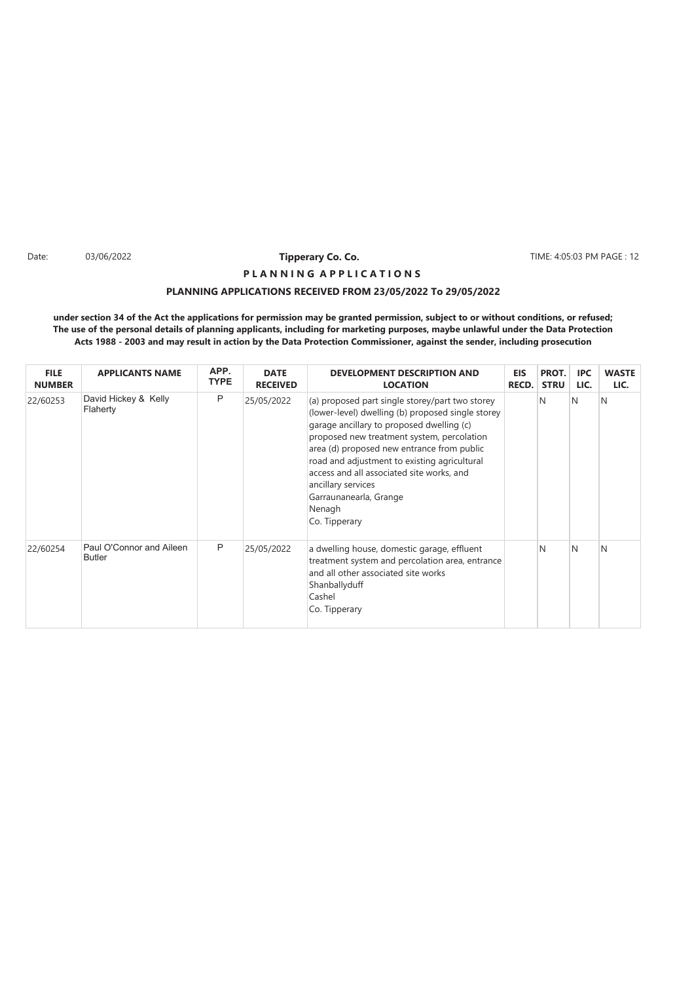Date: 03/06/2022 **Time:** 12 **Time Page 12 The Page 12 The Page 12 The Page 12 The Page 12 The Page 12 The Page 12** 

# **PLANNING APPLICATIONS RECEIVED FROM 23/05/2022 To 29/05/2022 P L A N N I N G A P P L I C A T I O N S**

| <b>FILE</b><br><b>NUMBER</b> | <b>APPLICANTS NAME</b>                    | APP.<br><b>TYPE</b> | <b>DATE</b><br><b>RECEIVED</b> | DEVELOPMENT DESCRIPTION AND<br><b>LOCATION</b>                                                                                                                                                                                                                                                                                                                                                                        | <b>EIS</b><br>RECD. | PROT.<br><b>STRU</b> | IPC.<br>LIC. | <b>WASTE</b><br>LIC. |
|------------------------------|-------------------------------------------|---------------------|--------------------------------|-----------------------------------------------------------------------------------------------------------------------------------------------------------------------------------------------------------------------------------------------------------------------------------------------------------------------------------------------------------------------------------------------------------------------|---------------------|----------------------|--------------|----------------------|
| 22/60253                     | David Hickey & Kelly<br>Flaherty          | P                   | 25/05/2022                     | (a) proposed part single storey/part two storey<br>(lower-level) dwelling (b) proposed single storey<br>garage ancillary to proposed dwelling (c)<br>proposed new treatment system, percolation<br>area (d) proposed new entrance from public<br>road and adjustment to existing agricultural<br>access and all associated site works, and<br>ancillary services<br>Garraunanearla, Grange<br>Nenagh<br>Co. Tipperary |                     | N                    | N            | N                    |
| 22/60254                     | Paul O'Connor and Aileen<br><b>Butler</b> | P                   | 25/05/2022                     | a dwelling house, domestic garage, effluent<br>treatment system and percolation area, entrance<br>and all other associated site works<br>Shanballyduff<br>Cashel<br>Co. Tipperary                                                                                                                                                                                                                                     |                     | N                    | N            | N                    |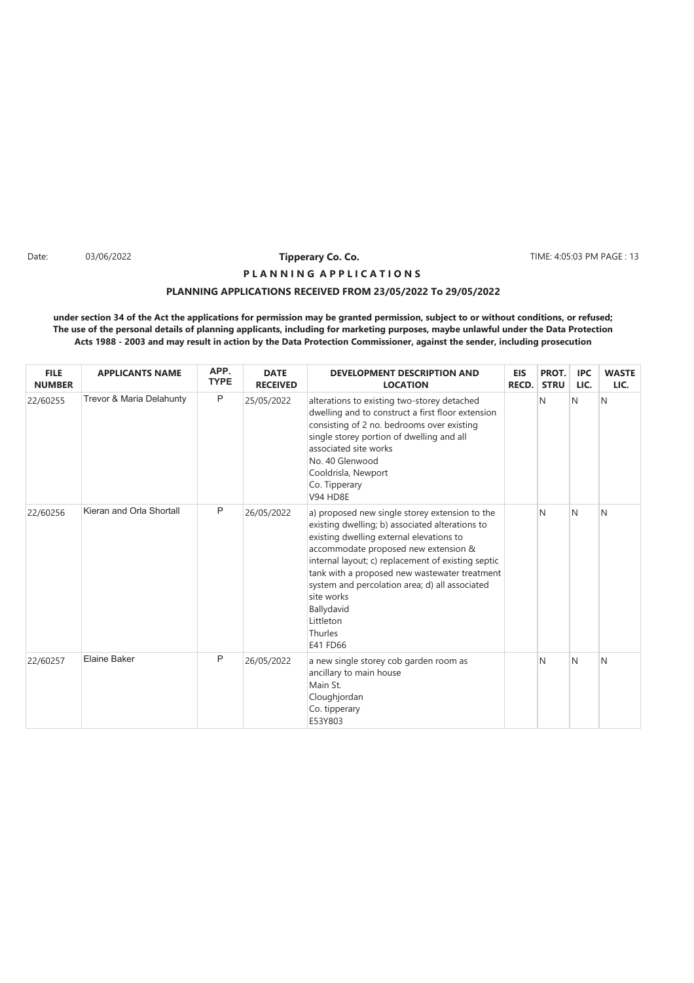Date: 03/06/2022 **Time:** 13 **Time Co. Co. 2018 The Co. Co. 2018** TIME: 4:05:03 PM PAGE : 13

# **PLANNING APPLICATIONS RECEIVED FROM 23/05/2022 To 29/05/2022 P L A N N I N G A P P L I C A T I O N S**

| <b>FILE</b><br><b>NUMBER</b> | <b>APPLICANTS NAME</b>   | APP.<br><b>TYPE</b> | <b>DATE</b><br><b>RECEIVED</b> | <b>DEVELOPMENT DESCRIPTION AND</b><br><b>LOCATION</b>                                                                                                                                                                                                                                                                                                                                                          | <b>EIS</b><br>RECD. | PROT.<br><b>STRU</b> | <b>IPC</b><br>LIC. | <b>WASTE</b><br>LIC. |
|------------------------------|--------------------------|---------------------|--------------------------------|----------------------------------------------------------------------------------------------------------------------------------------------------------------------------------------------------------------------------------------------------------------------------------------------------------------------------------------------------------------------------------------------------------------|---------------------|----------------------|--------------------|----------------------|
| 22/60255                     | Trevor & Maria Delahunty | P                   | 25/05/2022                     | alterations to existing two-storey detached<br>dwelling and to construct a first floor extension<br>consisting of 2 no. bedrooms over existing<br>single storey portion of dwelling and all<br>associated site works<br>No. 40 Glenwood<br>Cooldrisla, Newport<br>Co. Tipperary<br><b>V94 HD8E</b>                                                                                                             |                     | N                    | N                  | N                    |
| 22/60256                     | Kieran and Orla Shortall | P                   | 26/05/2022                     | a) proposed new single storey extension to the<br>existing dwelling; b) associated alterations to<br>existing dwelling external elevations to<br>accommodate proposed new extension &<br>internal layout; c) replacement of existing septic<br>tank with a proposed new wastewater treatment<br>system and percolation area; d) all associated<br>site works<br>Ballydavid<br>Littleton<br>Thurles<br>E41 FD66 |                     | N                    | N                  | N                    |
| 22/60257                     | <b>Elaine Baker</b>      | P                   | 26/05/2022                     | a new single storey cob garden room as<br>ancillary to main house<br>Main St.<br>Cloughjordan<br>Co. tipperary<br>E53Y803                                                                                                                                                                                                                                                                                      |                     | N                    | N                  | N                    |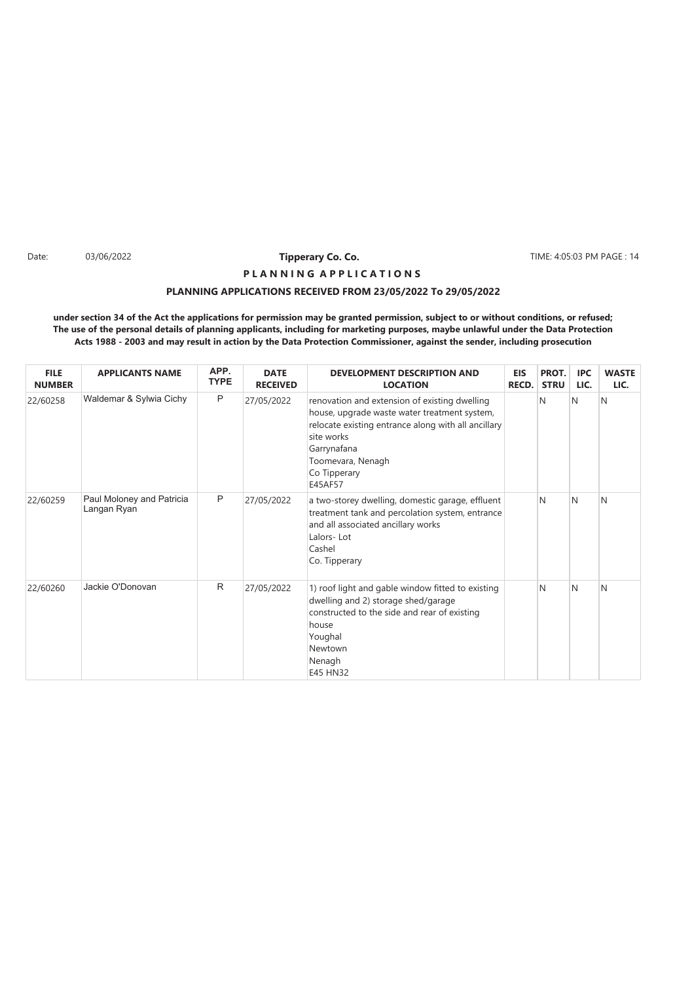Date: TIME: 4:05:03 PM PAGE : 14

# **PLANNING APPLICATIONS RECEIVED FROM 23/05/2022 To 29/05/2022 P L A N N I N G A P P L I C A T I O N S**

| <b>FILE</b><br><b>NUMBER</b> | <b>APPLICANTS NAME</b>                   | APP.<br><b>TYPE</b> | <b>DATE</b><br><b>RECEIVED</b> | <b>DEVELOPMENT DESCRIPTION AND</b><br><b>LOCATION</b>                                                                                                                                                                             | <b>EIS</b><br>RECD. | PROT.<br><b>STRU</b> | <b>IPC</b><br>LIC. | <b>WASTE</b><br>LIC. |
|------------------------------|------------------------------------------|---------------------|--------------------------------|-----------------------------------------------------------------------------------------------------------------------------------------------------------------------------------------------------------------------------------|---------------------|----------------------|--------------------|----------------------|
| 22/60258                     | Waldemar & Sylwia Cichy                  | P                   | 27/05/2022                     | renovation and extension of existing dwelling<br>house, upgrade waste water treatment system,<br>relocate existing entrance along with all ancillary<br>site works<br>Garrynafana<br>Toomevara, Nenagh<br>Co Tipperary<br>E45AF57 |                     | N                    | N                  | N                    |
| 22/60259                     | Paul Moloney and Patricia<br>Langan Ryan | P                   | 27/05/2022                     | a two-storey dwelling, domestic garage, effluent<br>treatment tank and percolation system, entrance<br>and all associated ancillary works<br>Lalors-Lot<br>Cashel<br>Co. Tipperary                                                |                     | N                    | N                  | N                    |
| 22/60260                     | Jackie O'Donovan                         | $\mathsf{R}$        | 27/05/2022                     | 1) roof light and gable window fitted to existing<br>dwelling and 2) storage shed/garage<br>constructed to the side and rear of existing<br>house<br>Youghal<br>Newtown<br>Nenagh<br>E45 HN32                                     |                     | N                    | N                  | N                    |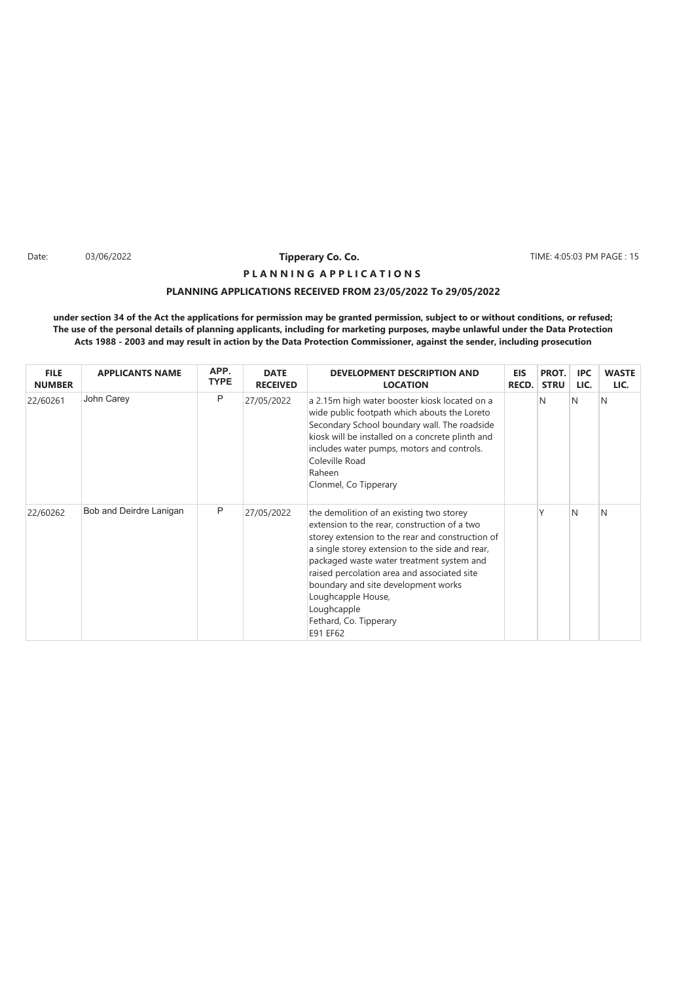Date: 03/06/2022 **Time:** 4:05:03 PM PAGE : 15

# **PLANNING APPLICATIONS RECEIVED FROM 23/05/2022 To 29/05/2022 P L A N N I N G A P P L I C A T I O N S**

| <b>FILE</b><br><b>NUMBER</b> | <b>APPLICANTS NAME</b>  | APP.<br><b>TYPE</b> | <b>DATE</b><br><b>RECEIVED</b> | <b>DEVELOPMENT DESCRIPTION AND</b><br><b>LOCATION</b>                                                                                                                                                                                                                                                                                                                                                         | <b>EIS</b><br><b>RECD.</b> | PROT.<br><b>STRU</b> | <b>IPC</b><br>LIC. | <b>WASTE</b><br>LIC. |
|------------------------------|-------------------------|---------------------|--------------------------------|---------------------------------------------------------------------------------------------------------------------------------------------------------------------------------------------------------------------------------------------------------------------------------------------------------------------------------------------------------------------------------------------------------------|----------------------------|----------------------|--------------------|----------------------|
| 22/60261                     | John Carey              | P                   | 27/05/2022                     | a 2.15m high water booster kiosk located on a<br>wide public footpath which abouts the Loreto<br>Secondary School boundary wall. The roadside<br>kiosk will be installed on a concrete plinth and<br>includes water pumps, motors and controls.<br>Coleville Road<br>Raheen<br>Clonmel, Co Tipperary                                                                                                          |                            | N                    | IN.                | N                    |
| 22/60262                     | Bob and Deirdre Lanigan | P                   | 27/05/2022                     | the demolition of an existing two storey<br>extension to the rear, construction of a two<br>storey extension to the rear and construction of<br>a single storey extension to the side and rear,<br>packaged waste water treatment system and<br>raised percolation area and associated site<br>boundary and site development works<br>Loughcapple House,<br>Loughcapple<br>Fethard, Co. Tipperary<br>E91 EF62 |                            |                      | N                  | N                    |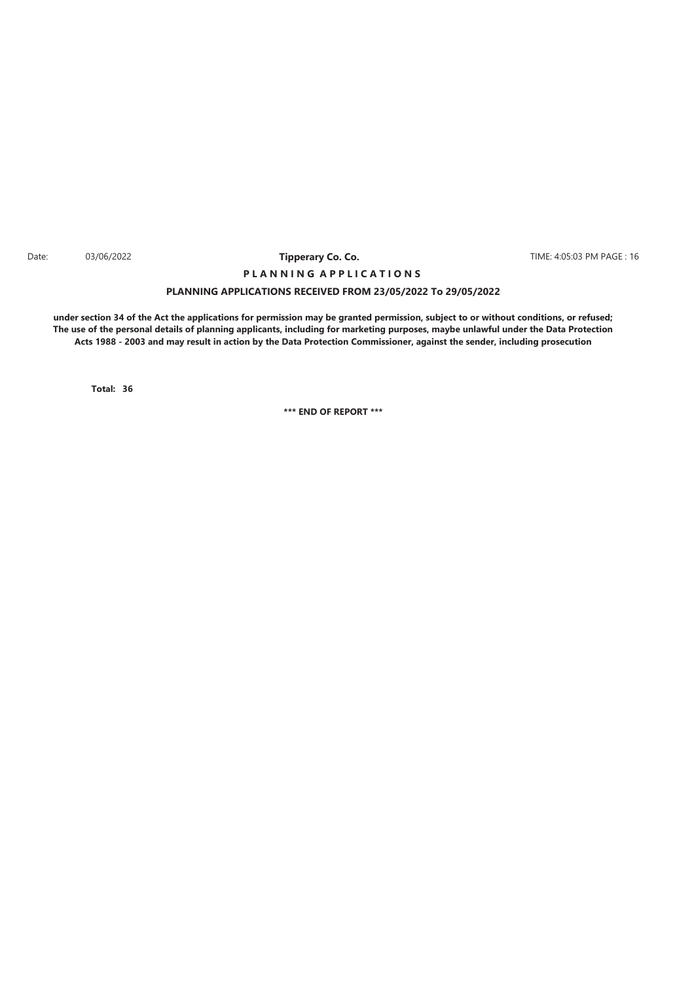#### Date: 03/06/2022 **Time:** 16 and 2010 **Time in the College of College College College College College College College College College College College TIME: 4:05:03 PM PAGE : 16 Tipperary Co. Co. P L A N N I N G A P P L I C A T I O N S**

### **PLANNING APPLICATIONS RECEIVED FROM 23/05/2022 To 29/05/2022**

**under section 34 of the Act the applications for permission may be granted permission, subject to or without conditions, or refused; The use of the personal details of planning applicants, including for marketing purposes, maybe unlawful under the Data Protection Acts 1988 - 2003 and may result in action by the Data Protection Commissioner, against the sender, including prosecution**

**36 Total:**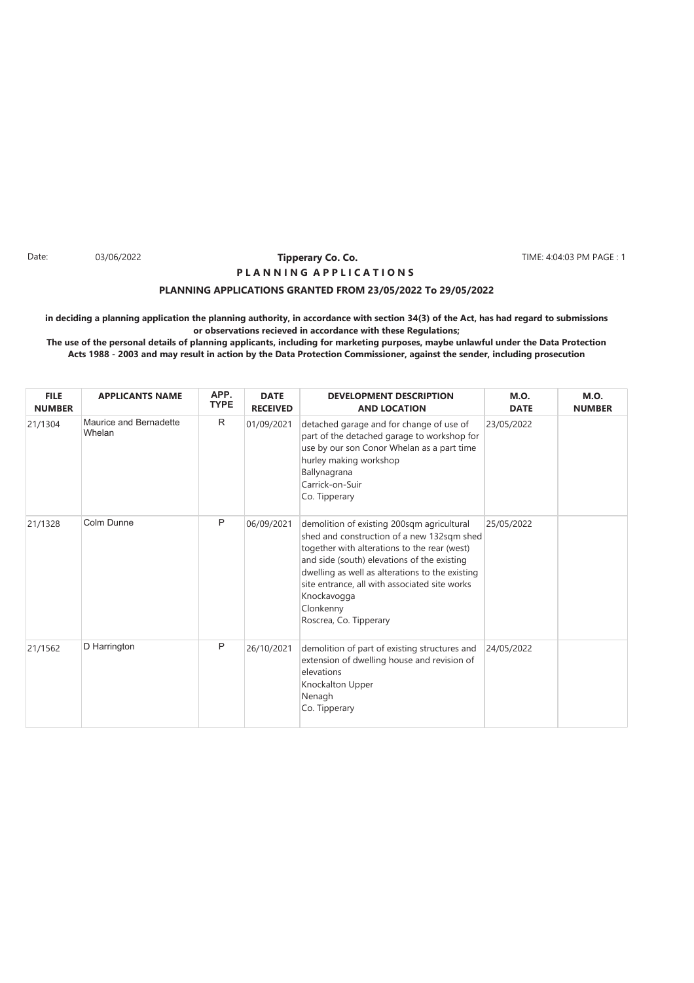#### Date: 03/06/2022 **Tipperary Co. Co. The Co. 1999** TIME: 4:04:03 PM PAGE : 1 **Tipperary Co. Co. P L A N N I N G A P P L I C A T I O N S**

### **PLANNING APPLICATIONS GRANTED FROM 23/05/2022 To 29/05/2022**

**in deciding a planning application the planning authority, in accordance with section 34(3) of the Act, has had regard to submissions or observations recieved in accordance with these Regulations;**

| <b>FILE</b><br><b>NUMBER</b> | <b>APPLICANTS NAME</b>                  | APP.<br><b>TYPE</b> | <b>DATE</b><br><b>RECEIVED</b> | <b>DEVELOPMENT DESCRIPTION</b><br><b>AND LOCATION</b>                                                                                                                                                                                                                                                                                             | <b>M.O.</b><br><b>DATE</b> | <b>M.O.</b><br><b>NUMBER</b> |
|------------------------------|-----------------------------------------|---------------------|--------------------------------|---------------------------------------------------------------------------------------------------------------------------------------------------------------------------------------------------------------------------------------------------------------------------------------------------------------------------------------------------|----------------------------|------------------------------|
| 21/1304                      | <b>Maurice and Bernadette</b><br>Whelan | R                   | 01/09/2021                     | detached garage and for change of use of<br>part of the detached garage to workshop for<br>use by our son Conor Whelan as a part time<br>hurley making workshop<br>Ballynagrana<br>Carrick-on-Suir<br>Co. Tipperary                                                                                                                               | 23/05/2022                 |                              |
| 21/1328                      | Colm Dunne                              | P                   | 06/09/2021                     | demolition of existing 200sqm agricultural<br>shed and construction of a new 132sqm shed<br>together with alterations to the rear (west)<br>and side (south) elevations of the existing<br>dwelling as well as alterations to the existing<br>site entrance, all with associated site works<br>Knockavogga<br>Clonkenny<br>Roscrea, Co. Tipperary | 25/05/2022                 |                              |
| 21/1562                      | D Harrington                            | P                   | 26/10/2021                     | demolition of part of existing structures and<br>extension of dwelling house and revision of<br>elevations<br>Knockalton Upper<br>Nenagh<br>Co. Tipperary                                                                                                                                                                                         | 24/05/2022                 |                              |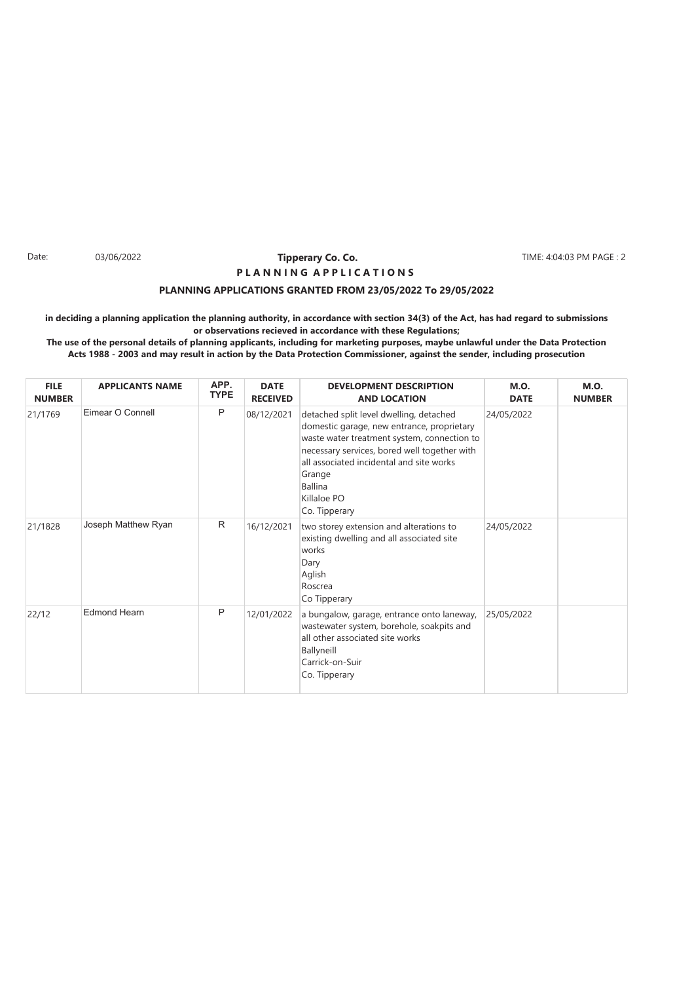#### Date: 03/06/2022 **Tipperary Co. Co. The Section Co. 2008** TIME: 4:04:03 PM PAGE : 2 **Tipperary Co. Co. P L A N N I N G A P P L I C A T I O N S**

### **PLANNING APPLICATIONS GRANTED FROM 23/05/2022 To 29/05/2022**

**in deciding a planning application the planning authority, in accordance with section 34(3) of the Act, has had regard to submissions or observations recieved in accordance with these Regulations;**

| <b>FILE</b><br><b>NUMBER</b> | <b>APPLICANTS NAME</b> | APP.<br><b>TYPE</b> | <b>DATE</b><br><b>RECEIVED</b> | <b>DEVELOPMENT DESCRIPTION</b><br><b>AND LOCATION</b>                                                                                                                                                                                                                                        | <b>M.O.</b><br><b>DATE</b> | <b>M.O.</b><br><b>NUMBER</b> |
|------------------------------|------------------------|---------------------|--------------------------------|----------------------------------------------------------------------------------------------------------------------------------------------------------------------------------------------------------------------------------------------------------------------------------------------|----------------------------|------------------------------|
| 21/1769                      | Eimear O Connell       | P                   | 08/12/2021                     | detached split level dwelling, detached<br>domestic garage, new entrance, proprietary<br>waste water treatment system, connection to<br>necessary services, bored well together with<br>all associated incidental and site works<br>Grange<br><b>Ballina</b><br>Killaloe PO<br>Co. Tipperary | 24/05/2022                 |                              |
| 21/1828                      | Joseph Matthew Ryan    | R                   | 16/12/2021                     | two storey extension and alterations to<br>existing dwelling and all associated site<br>works<br>Dary<br>Aglish<br>Roscrea<br>Co Tipperary                                                                                                                                                   | 24/05/2022                 |                              |
| 22/12                        | <b>Edmond Hearn</b>    | P                   | 12/01/2022                     | a bungalow, garage, entrance onto laneway,<br>wastewater system, borehole, soakpits and<br>all other associated site works<br>Ballyneill<br>Carrick-on-Suir<br>Co. Tipperary                                                                                                                 | 25/05/2022                 |                              |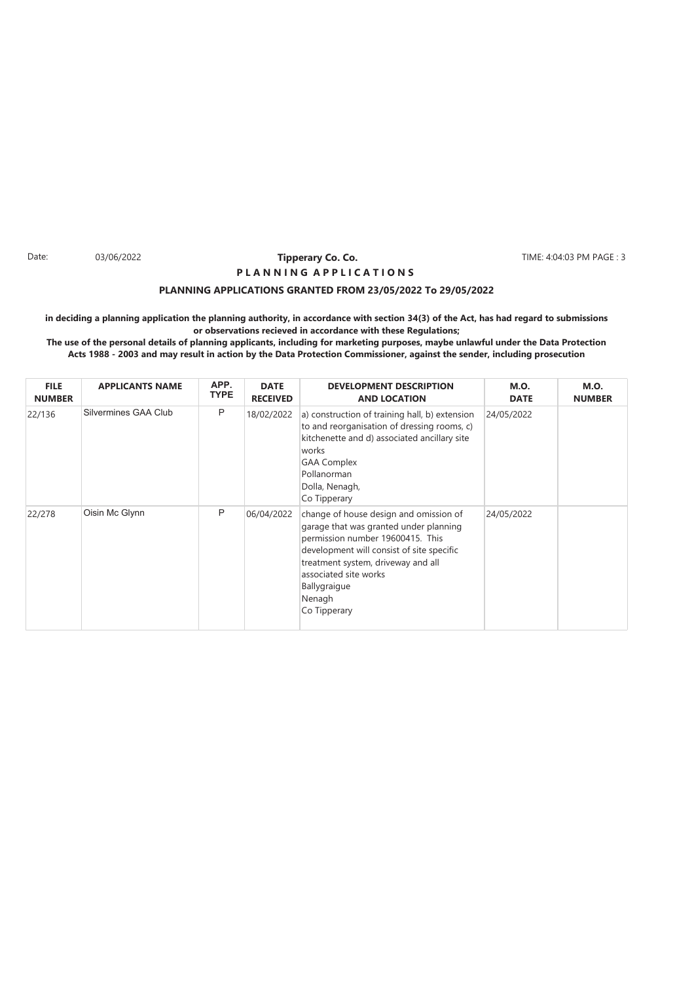#### Date: 03/06/2022 **Tipperary Co. Co. The Co. 1999 TIME: 4:04:03 PM PAGE : 3 Tipperary Co. Co. P L A N N I N G A P P L I C A T I O N S**

### **PLANNING APPLICATIONS GRANTED FROM 23/05/2022 To 29/05/2022**

**in deciding a planning application the planning authority, in accordance with section 34(3) of the Act, has had regard to submissions or observations recieved in accordance with these Regulations;**

| <b>FILE</b><br><b>NUMBER</b> | <b>APPLICANTS NAME</b> | APP.<br><b>TYPE</b> | <b>DATE</b><br><b>RECEIVED</b> | <b>DEVELOPMENT DESCRIPTION</b><br><b>AND LOCATION</b>                                                                                                                                                                                                                      | <b>M.O.</b><br><b>DATE</b> | <b>M.O.</b><br><b>NUMBER</b> |
|------------------------------|------------------------|---------------------|--------------------------------|----------------------------------------------------------------------------------------------------------------------------------------------------------------------------------------------------------------------------------------------------------------------------|----------------------------|------------------------------|
| 22/136                       | Silvermines GAA Club   | P                   | 18/02/2022                     | a) construction of training hall, b) extension<br>to and reorganisation of dressing rooms, c)<br>kitchenette and d) associated ancillary site<br>works<br><b>GAA Complex</b><br>Pollanorman<br>Dolla, Nenagh,<br>Co Tipperary                                              | 24/05/2022                 |                              |
| 22/278                       | Oisin Mc Glynn         | P                   | 06/04/2022                     | change of house design and omission of<br>garage that was granted under planning<br>permission number 19600415. This<br>development will consist of site specific<br>treatment system, driveway and all<br>associated site works<br>Ballygraigue<br>Nenagh<br>Co Tipperary | 24/05/2022                 |                              |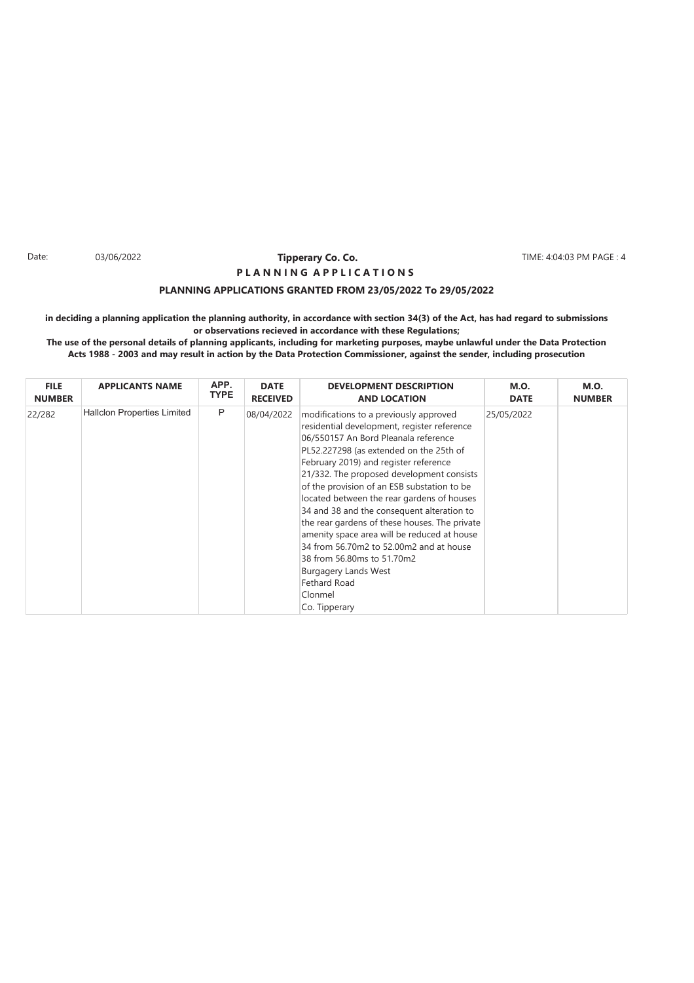#### Date: 03/06/2022 **Tipperary Co. Co. The Section Co. 2008** TIME: 4:04:03 PM PAGE : 4 **Tipperary Co. Co. P L A N N I N G A P P L I C A T I O N S**

### **PLANNING APPLICATIONS GRANTED FROM 23/05/2022 To 29/05/2022**

**in deciding a planning application the planning authority, in accordance with section 34(3) of the Act, has had regard to submissions or observations recieved in accordance with these Regulations;**

| <b>FILE</b>   | <b>APPLICANTS NAME</b>             | APP.        | <b>DATE</b>     | <b>DEVELOPMENT DESCRIPTION</b>                                                                                                                                                                                                                                                                                                                                                                                                                                                                                                                                                                                                                                       | <b>M.O.</b> | <b>M.O.</b>   |
|---------------|------------------------------------|-------------|-----------------|----------------------------------------------------------------------------------------------------------------------------------------------------------------------------------------------------------------------------------------------------------------------------------------------------------------------------------------------------------------------------------------------------------------------------------------------------------------------------------------------------------------------------------------------------------------------------------------------------------------------------------------------------------------------|-------------|---------------|
| <b>NUMBER</b> |                                    | <b>TYPE</b> | <b>RECEIVED</b> | <b>AND LOCATION</b>                                                                                                                                                                                                                                                                                                                                                                                                                                                                                                                                                                                                                                                  | <b>DATE</b> | <b>NUMBER</b> |
| 22/282        | <b>Hallclon Properties Limited</b> | P           | 08/04/2022      | modifications to a previously approved<br>residential development, register reference<br>06/550157 An Bord Pleanala reference<br>PL52.227298 (as extended on the 25th of<br>February 2019) and register reference<br>21/332. The proposed development consists<br>of the provision of an ESB substation to be<br>located between the rear gardens of houses<br>34 and 38 and the consequent alteration to<br>the rear gardens of these houses. The private<br>amenity space area will be reduced at house<br>34 from 56.70m2 to 52.00m2 and at house<br>38 from 56.80ms to 51.70m2<br><b>Burgagery Lands West</b><br><b>Fethard Road</b><br>Clonmel<br>Co. Tipperary | 25/05/2022  |               |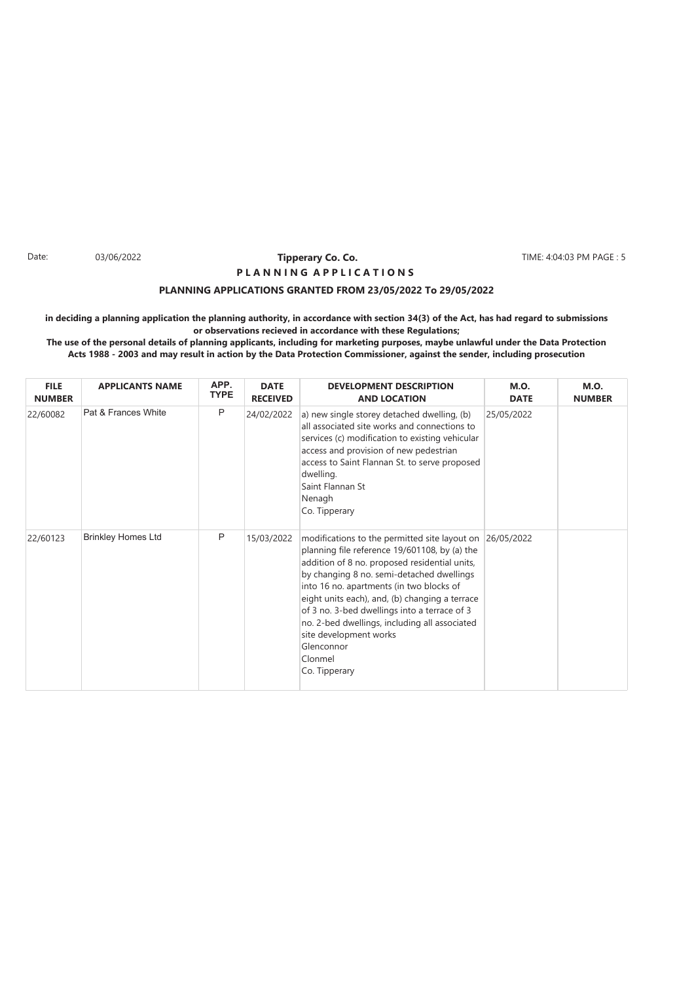#### Date: 03/06/2022 **Tipperary Co. Co. The Co. 1999 TIME: 4:04:03 PM PAGE : 5 Tipperary Co. Co. P L A N N I N G A P P L I C A T I O N S**

### **PLANNING APPLICATIONS GRANTED FROM 23/05/2022 To 29/05/2022**

**in deciding a planning application the planning authority, in accordance with section 34(3) of the Act, has had regard to submissions or observations recieved in accordance with these Regulations;**

| <b>FILE</b><br><b>NUMBER</b> | <b>APPLICANTS NAME</b>    | APP.<br><b>TYPE</b> | <b>DATE</b><br><b>RECEIVED</b> | <b>DEVELOPMENT DESCRIPTION</b><br><b>AND LOCATION</b>                                                                                                                                                                                                                                                                                                                                                                                                           | <b>M.O.</b><br><b>DATE</b> | <b>M.O.</b><br><b>NUMBER</b> |
|------------------------------|---------------------------|---------------------|--------------------------------|-----------------------------------------------------------------------------------------------------------------------------------------------------------------------------------------------------------------------------------------------------------------------------------------------------------------------------------------------------------------------------------------------------------------------------------------------------------------|----------------------------|------------------------------|
| 22/60082                     | Pat & Frances White       | P                   | 24/02/2022                     | a) new single storey detached dwelling, (b)<br>all associated site works and connections to<br>services (c) modification to existing vehicular<br>access and provision of new pedestrian<br>access to Saint Flannan St. to serve proposed<br>dwelling.<br>Saint Flannan St<br>Nenagh<br>Co. Tipperary                                                                                                                                                           | 25/05/2022                 |                              |
| 22/60123                     | <b>Brinkley Homes Ltd</b> | P                   | 15/03/2022                     | modifications to the permitted site layout on<br>planning file reference 19/601108, by (a) the<br>addition of 8 no. proposed residential units,<br>by changing 8 no. semi-detached dwellings<br>into 16 no. apartments (in two blocks of<br>eight units each), and, (b) changing a terrace<br>of 3 no. 3-bed dwellings into a terrace of 3<br>no. 2-bed dwellings, including all associated<br>site development works<br>Glenconnor<br>Clonmel<br>Co. Tipperary | 26/05/2022                 |                              |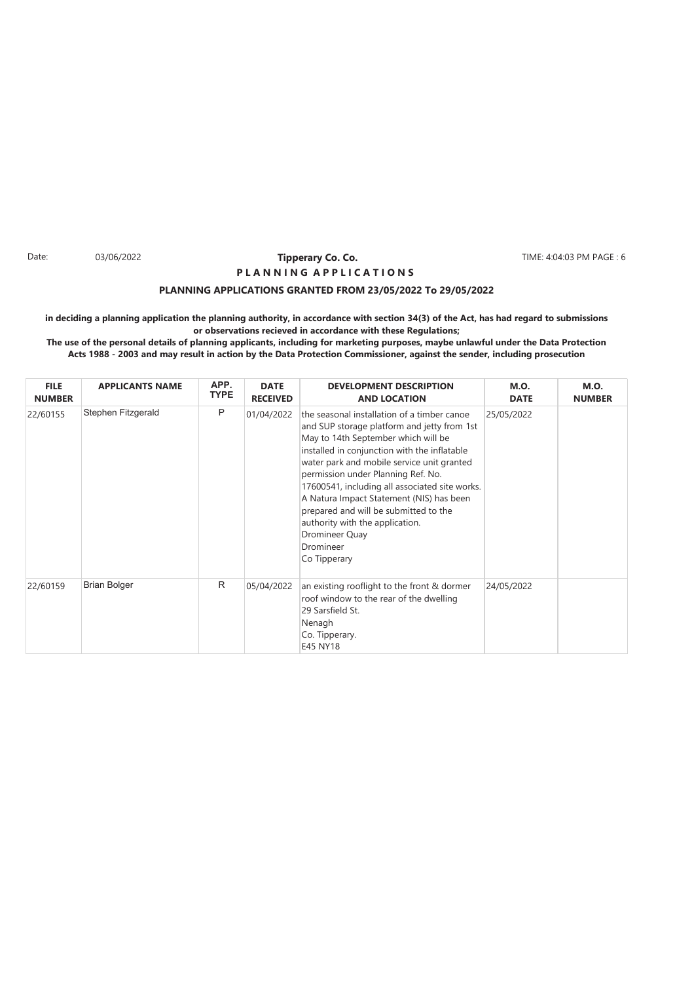#### Date: 03/06/2022 **Tipperary Co. Co. The Section Co. 2008** TIME: 4:04:03 PM PAGE : 6 **Tipperary Co. Co. P L A N N I N G A P P L I C A T I O N S**

### **PLANNING APPLICATIONS GRANTED FROM 23/05/2022 To 29/05/2022**

**in deciding a planning application the planning authority, in accordance with section 34(3) of the Act, has had regard to submissions or observations recieved in accordance with these Regulations;**

| <b>FILE</b><br><b>NUMBER</b> | <b>APPLICANTS NAME</b> | APP.<br><b>TYPE</b> | <b>DATE</b><br><b>RECEIVED</b> | <b>DEVELOPMENT DESCRIPTION</b><br><b>AND LOCATION</b>                                                                                                                                                                                                                                                                                                                                                                                                                                          | <b>M.O.</b><br><b>DATE</b> | <b>M.O.</b><br><b>NUMBER</b> |
|------------------------------|------------------------|---------------------|--------------------------------|------------------------------------------------------------------------------------------------------------------------------------------------------------------------------------------------------------------------------------------------------------------------------------------------------------------------------------------------------------------------------------------------------------------------------------------------------------------------------------------------|----------------------------|------------------------------|
| 22/60155                     | Stephen Fitzgerald     | Ρ                   | 01/04/2022                     | the seasonal installation of a timber canoe<br>and SUP storage platform and jetty from 1st<br>May to 14th September which will be<br>installed in conjunction with the inflatable<br>water park and mobile service unit granted<br>permission under Planning Ref. No.<br>17600541, including all associated site works.<br>A Natura Impact Statement (NIS) has been<br>prepared and will be submitted to the<br>authority with the application.<br>Dromineer Quay<br>Dromineer<br>Co Tipperary | 25/05/2022                 |                              |
| 22/60159                     | <b>Brian Bolger</b>    | R                   | 05/04/2022                     | an existing rooflight to the front & dormer<br>roof window to the rear of the dwelling<br>29 Sarsfield St.<br>Nenagh<br>Co. Tipperary.<br>E45 NY18                                                                                                                                                                                                                                                                                                                                             | 24/05/2022                 |                              |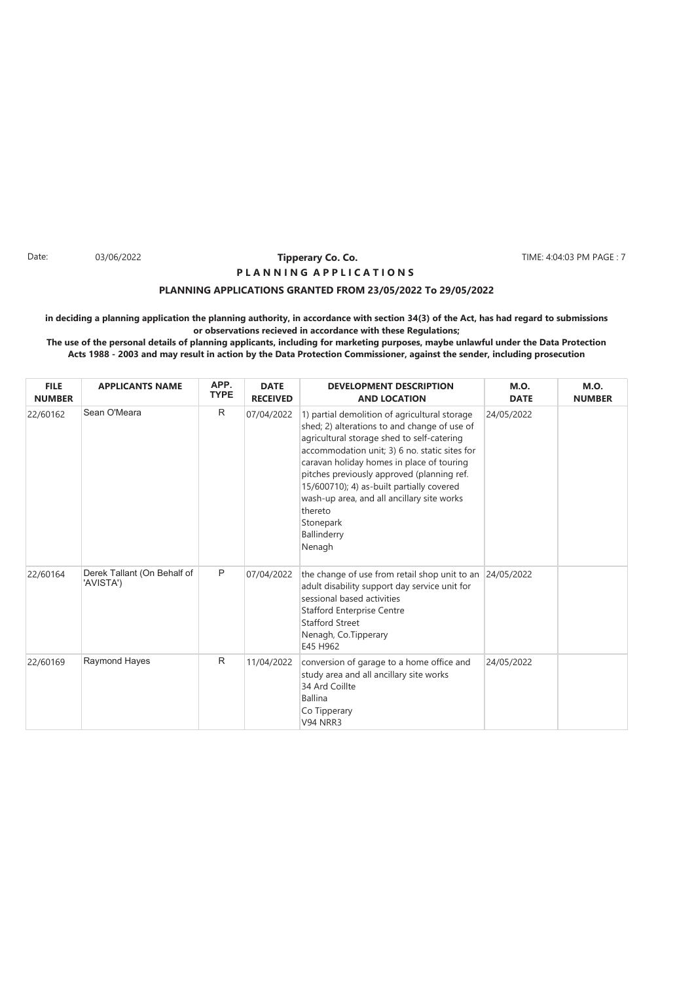#### Date: 03/06/2022 **Tipperary Co. Co. The Co. 1999** TIME: 4:04:03 PM PAGE : 7 **Tipperary Co. Co. P L A N N I N G A P P L I C A T I O N S**

### **PLANNING APPLICATIONS GRANTED FROM 23/05/2022 To 29/05/2022**

**in deciding a planning application the planning authority, in accordance with section 34(3) of the Act, has had regard to submissions or observations recieved in accordance with these Regulations; The use of the personal details of planning applicants, including for marketing purposes, maybe unlawful under the Data Protection**

**Acts 1988 - 2003 and may result in action by the Data Protection Commissioner, against the sender, including prosecution**

| <b>FILE</b><br><b>NUMBER</b> | <b>APPLICANTS NAME</b>                   | APP.<br><b>TYPE</b> | <b>DATE</b><br><b>RECEIVED</b> | <b>DEVELOPMENT DESCRIPTION</b><br><b>AND LOCATION</b>                                                                                                                                                                                                                                                                                                                                                                               | <b>M.O.</b><br><b>DATE</b> | <b>M.O.</b><br><b>NUMBER</b> |
|------------------------------|------------------------------------------|---------------------|--------------------------------|-------------------------------------------------------------------------------------------------------------------------------------------------------------------------------------------------------------------------------------------------------------------------------------------------------------------------------------------------------------------------------------------------------------------------------------|----------------------------|------------------------------|
| 22/60162                     | Sean O'Meara                             | R                   | 07/04/2022                     | 1) partial demolition of agricultural storage<br>shed; 2) alterations to and change of use of<br>agricultural storage shed to self-catering<br>accommodation unit; 3) 6 no. static sites for<br>caravan holiday homes in place of touring<br>pitches previously approved (planning ref.<br>15/600710); 4) as-built partially covered<br>wash-up area, and all ancillary site works<br>thereto<br>Stonepark<br>Ballinderry<br>Nenagh | 24/05/2022                 |                              |
| 22/60164                     | Derek Tallant (On Behalf of<br>'AVISTA') | P                   | 07/04/2022                     | the change of use from retail shop unit to an<br>adult disability support day service unit for<br>sessional based activities<br><b>Stafford Enterprise Centre</b><br><b>Stafford Street</b><br>Nenagh, Co.Tipperary<br>E45 H962                                                                                                                                                                                                     | 24/05/2022                 |                              |
| 22/60169                     | <b>Raymond Hayes</b>                     | R                   | 11/04/2022                     | conversion of garage to a home office and<br>study area and all ancillary site works<br>34 Ard Coillte<br><b>Ballina</b><br>Co Tipperary<br><b>V94 NRR3</b>                                                                                                                                                                                                                                                                         | 24/05/2022                 |                              |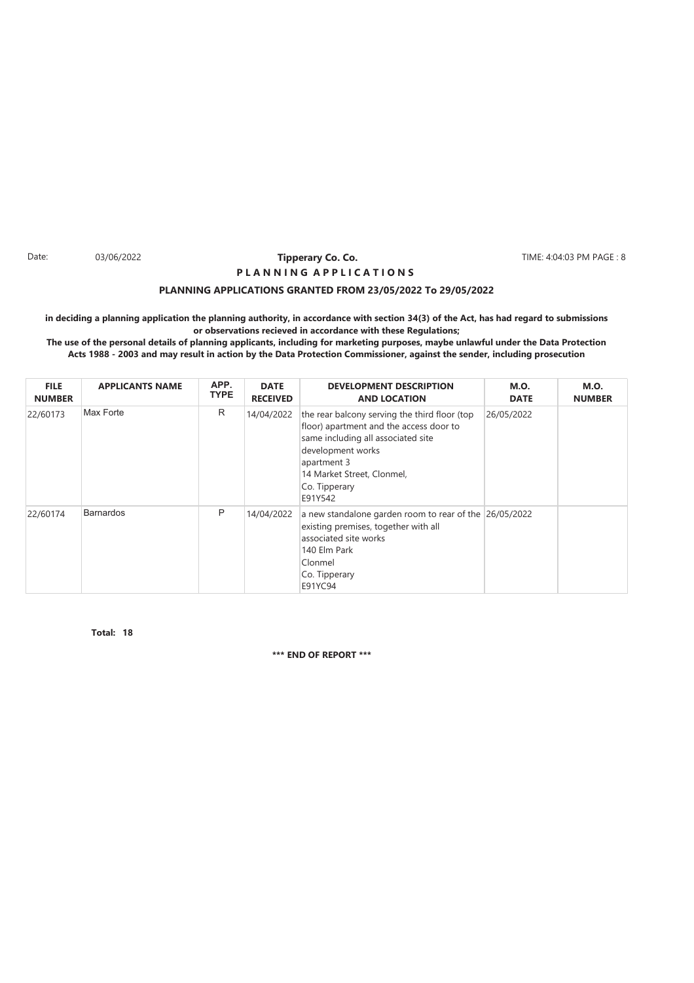#### Date: 03/06/2022 **Tipperary Co. Co. The Section Co. 2008** TIME: 4:04:03 PM PAGE : 8 **Tipperary Co. Co. P L A N N I N G A P P L I C A T I O N S**

### **PLANNING APPLICATIONS GRANTED FROM 23/05/2022 To 29/05/2022**

**in deciding a planning application the planning authority, in accordance with section 34(3) of the Act, has had regard to submissions or observations recieved in accordance with these Regulations;**

**The use of the personal details of planning applicants, including for marketing purposes, maybe unlawful under the Data Protection Acts 1988 - 2003 and may result in action by the Data Protection Commissioner, against the sender, including prosecution**

| <b>FILE</b><br><b>NUMBER</b> | <b>APPLICANTS NAME</b> | APP.<br><b>TYPE</b> | <b>DATE</b><br><b>RECEIVED</b> | <b>DEVELOPMENT DESCRIPTION</b><br><b>AND LOCATION</b>                                                                                                                                                                        | <b>M.O.</b><br><b>DATE</b> | <b>M.O.</b><br><b>NUMBER</b> |
|------------------------------|------------------------|---------------------|--------------------------------|------------------------------------------------------------------------------------------------------------------------------------------------------------------------------------------------------------------------------|----------------------------|------------------------------|
| 22/60173                     | Max Forte              | R                   | 14/04/2022                     | the rear balcony serving the third floor (top<br>floor) apartment and the access door to<br>same including all associated site<br>development works<br>apartment 3<br>14 Market Street, Clonmel,<br>Co. Tipperary<br>E91Y542 | 26/05/2022                 |                              |
| 22/60174                     | <b>Barnardos</b>       | P                   | 14/04/2022                     | a new standalone garden room to rear of the 26/05/2022<br>existing premises, together with all<br>associated site works<br>140 Elm Park<br>Clonmel<br>Co. Tipperary<br>E91YC94                                               |                            |                              |

**18 Total:**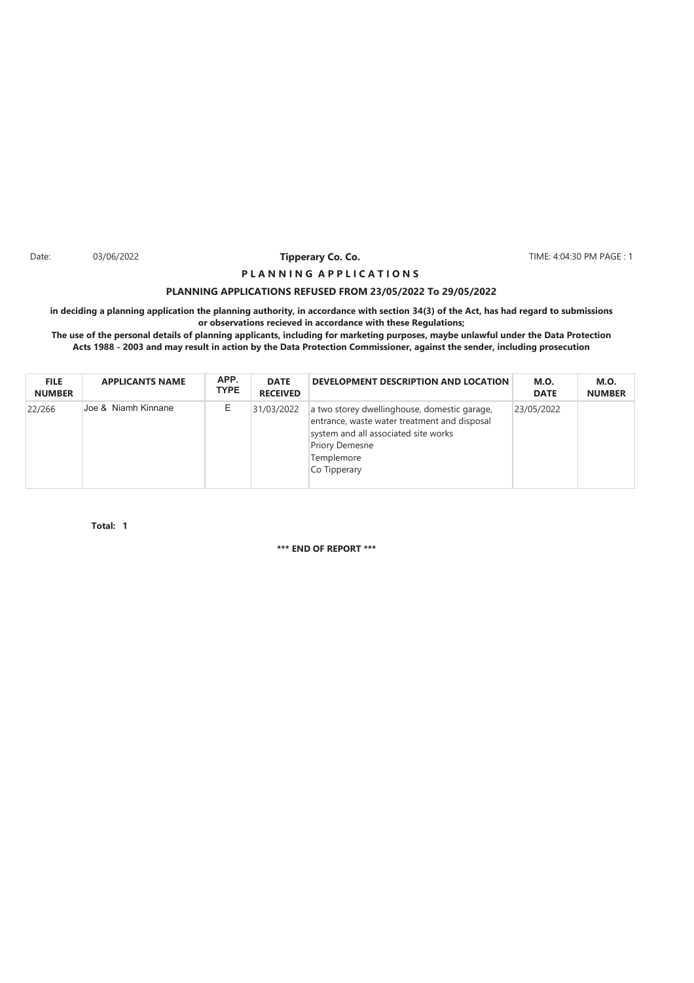Date: 03/06/2022 **Tipperary Co. Co. The Co. Co.** TIME: 4:04:30 PM PAGE : 1

### **PLANNING APPLICATIONS REFUSED FROM 23/05/2022 To 29/05/2022 P L A N N I N G A P P L I C A T I O N S**

**in deciding a planning application the planning authority, in accordance with section 34(3) of the Act, has had regard to submissions or observations recieved in accordance with these Regulations;**

**The use of the personal details of planning applicants, including for marketing purposes, maybe unlawful under the Data Protection Acts 1988 - 2003 and may result in action by the Data Protection Commissioner, against the sender, including prosecution**

| <b>FILE</b><br><b>NUMBER</b> | <b>APPLICANTS NAME</b> | APP.<br><b>TYPE</b> | <b>DATE</b><br><b>RECEIVED</b> | DEVELOPMENT DESCRIPTION AND LOCATION                                                                                                                                                        | <b>M.O.</b><br><b>DATE</b> | <b>M.O.</b><br><b>NUMBER</b> |
|------------------------------|------------------------|---------------------|--------------------------------|---------------------------------------------------------------------------------------------------------------------------------------------------------------------------------------------|----------------------------|------------------------------|
| 22/266                       | Uoe & Niamh Kinnane    | E                   | 31/03/2022                     | a two storey dwellinghouse, domestic garage,<br>entrance, waste water treatment and disposal<br>system and all associated site works<br><b>Priory Demesne</b><br>Templemore<br>Co Tipperary | 23/05/2022                 |                              |

**1 Total:**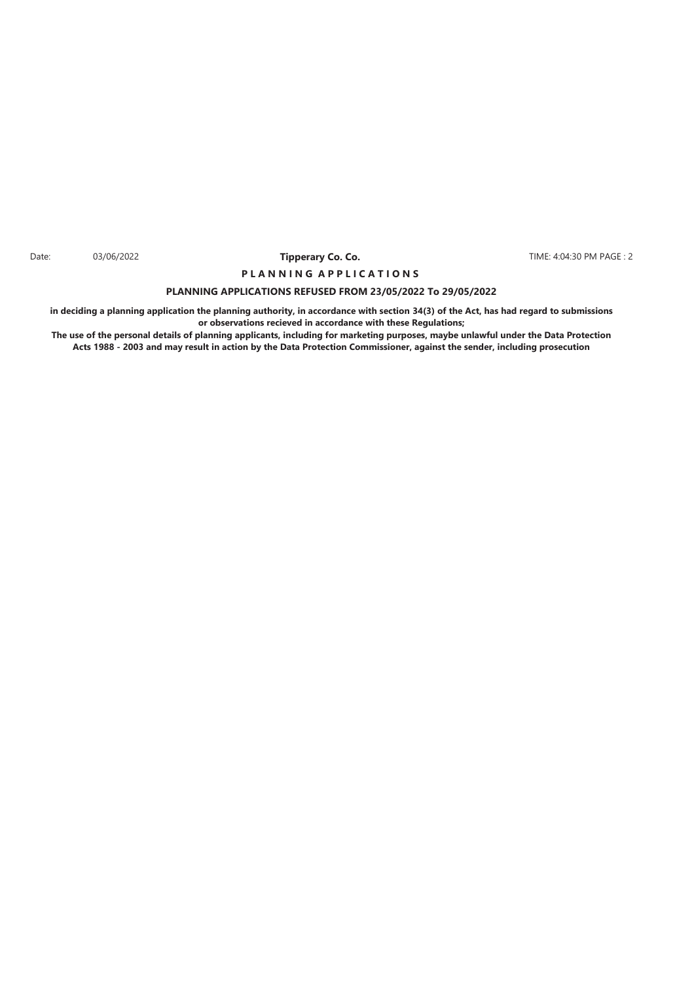Date: 03/06/2022 **Tipperary Co. Co. The Co. Co.** TIME: 4:04:30 PM PAGE : 2

### **PLANNING APPLICATIONS REFUSED FROM 23/05/2022 To 29/05/2022 P L A N N I N G A P P L I C A T I O N S**

**in deciding a planning application the planning authority, in accordance with section 34(3) of the Act, has had regard to submissions or observations recieved in accordance with these Regulations;**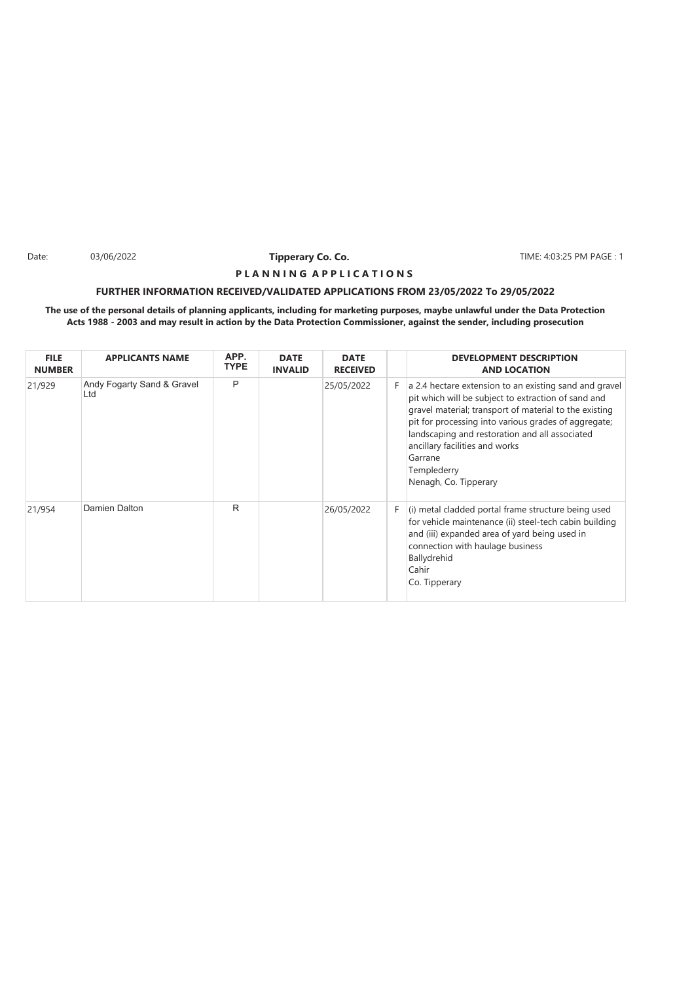Date: 03/06/2022 **Tipperary Co. Co. The Co. Co.** TIME: 4:03:25 PM PAGE : 1

### **P L A N N I N G A P P L I C A T I O N S**

### **FURTHER INFORMATION RECEIVED/VALIDATED APPLICATIONS FROM 23/05/2022 To 29/05/2022**

| <b>FILE</b><br><b>NUMBER</b> | <b>APPLICANTS NAME</b>            | APP.<br><b>TYPE</b> | <b>DATE</b><br><b>INVALID</b> | <b>DATE</b><br><b>RECEIVED</b> |    | <b>DEVELOPMENT DESCRIPTION</b><br><b>AND LOCATION</b>                                                                                                                                                                                                                                                                                                                  |
|------------------------------|-----------------------------------|---------------------|-------------------------------|--------------------------------|----|------------------------------------------------------------------------------------------------------------------------------------------------------------------------------------------------------------------------------------------------------------------------------------------------------------------------------------------------------------------------|
| 21/929                       | Andy Fogarty Sand & Gravel<br>Ltd | P                   |                               | 25/05/2022                     | F. | a 2.4 hectare extension to an existing sand and gravel<br>pit which will be subject to extraction of sand and<br>gravel material; transport of material to the existing<br>pit for processing into various grades of aggregate;<br>landscaping and restoration and all associated<br>ancillary facilities and works<br>Garrane<br>Templederry<br>Nenagh, Co. Tipperary |
| 21/954                       | Damien Dalton                     | R                   |                               | 26/05/2022                     | F. | (i) metal cladded portal frame structure being used<br>for vehicle maintenance (ii) steel-tech cabin building<br>and (iii) expanded area of yard being used in<br>connection with haulage business<br>Ballydrehid<br>Cahir<br>Co. Tipperary                                                                                                                            |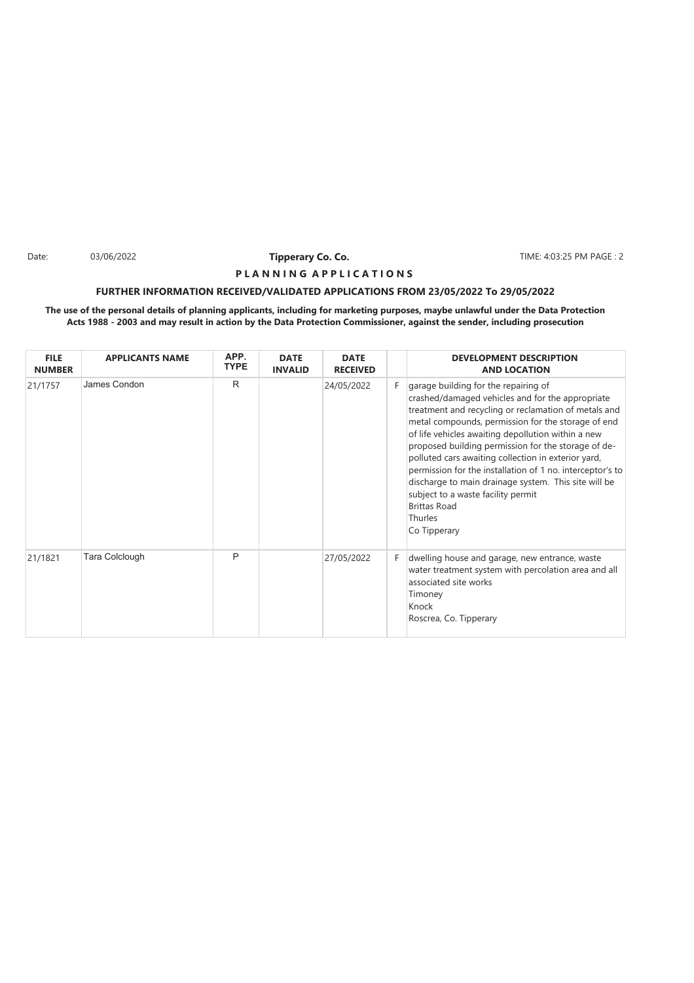Date: 03/06/2022 **Tipperary Co. Co. The Co. Co.** TIME: 4:03:25 PM PAGE : 2

### **P L A N N I N G A P P L I C A T I O N S**

### **FURTHER INFORMATION RECEIVED/VALIDATED APPLICATIONS FROM 23/05/2022 To 29/05/2022**

| <b>FILE</b><br><b>NUMBER</b> | <b>APPLICANTS NAME</b> | APP.<br><b>TYPE</b> | <b>DATE</b><br><b>INVALID</b> | <b>DATE</b><br><b>RECEIVED</b> |    | <b>DEVELOPMENT DESCRIPTION</b><br><b>AND LOCATION</b>                                                                                                                                                                                                                                                                                                                                                                                                                                                                                                                                   |
|------------------------------|------------------------|---------------------|-------------------------------|--------------------------------|----|-----------------------------------------------------------------------------------------------------------------------------------------------------------------------------------------------------------------------------------------------------------------------------------------------------------------------------------------------------------------------------------------------------------------------------------------------------------------------------------------------------------------------------------------------------------------------------------------|
| 21/1757                      | James Condon           | R                   |                               | 24/05/2022                     | F. | garage building for the repairing of<br>crashed/damaged vehicles and for the appropriate<br>treatment and recycling or reclamation of metals and<br>metal compounds, permission for the storage of end<br>of life vehicles awaiting depollution within a new<br>proposed building permission for the storage of de-<br>polluted cars awaiting collection in exterior yard,<br>permission for the installation of 1 no. interceptor's to<br>discharge to main drainage system. This site will be<br>subject to a waste facility permit<br><b>Brittas Road</b><br>Thurles<br>Co Tipperary |
| 21/1821                      | Tara Colclough         | P                   |                               | 27/05/2022                     | F. | dwelling house and garage, new entrance, waste<br>water treatment system with percolation area and all<br>associated site works<br>Timoney<br>Knock<br>Roscrea, Co. Tipperary                                                                                                                                                                                                                                                                                                                                                                                                           |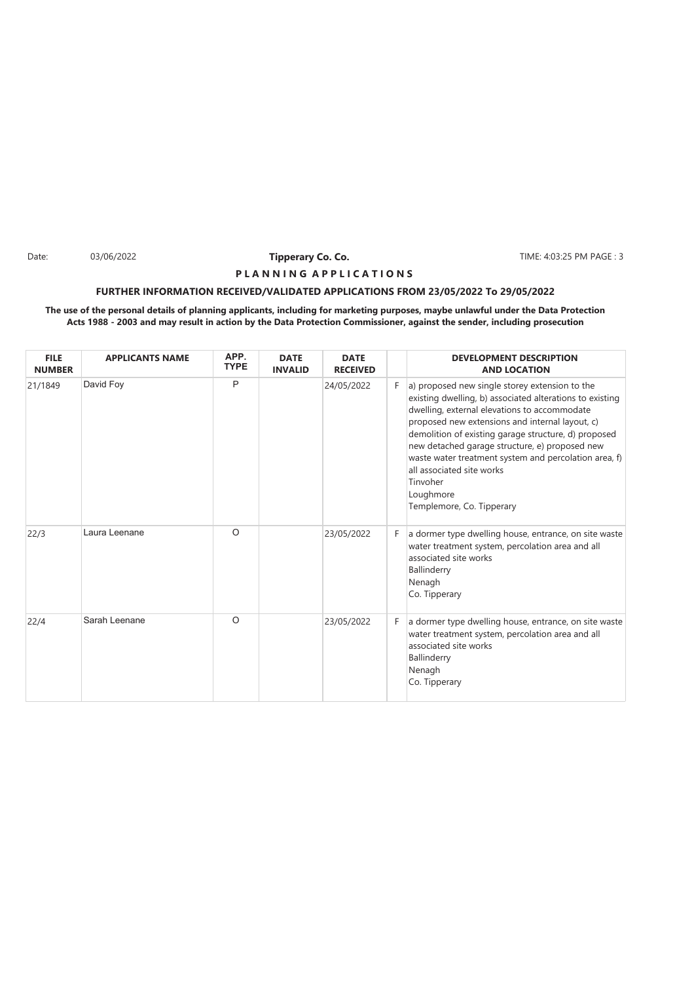Date: 03/06/2022 **Tipperary Co. Co. The Co. Co.** TIME: 4:03:25 PM PAGE : 3

### **P L A N N I N G A P P L I C A T I O N S**

### **FURTHER INFORMATION RECEIVED/VALIDATED APPLICATIONS FROM 23/05/2022 To 29/05/2022**

| <b>FILE</b><br><b>NUMBER</b> | <b>APPLICANTS NAME</b> | APP.<br><b>TYPE</b> | <b>DATE</b><br><b>INVALID</b> | <b>DATE</b><br><b>RECEIVED</b> |    | <b>DEVELOPMENT DESCRIPTION</b><br><b>AND LOCATION</b>                                                                                                                                                                                                                                                                                                                                                                                                               |
|------------------------------|------------------------|---------------------|-------------------------------|--------------------------------|----|---------------------------------------------------------------------------------------------------------------------------------------------------------------------------------------------------------------------------------------------------------------------------------------------------------------------------------------------------------------------------------------------------------------------------------------------------------------------|
| 21/1849                      | David Foy              | P                   |                               | 24/05/2022                     | F. | a) proposed new single storey extension to the<br>existing dwelling, b) associated alterations to existing<br>dwelling, external elevations to accommodate<br>proposed new extensions and internal layout, c)<br>demolition of existing garage structure, d) proposed<br>new detached garage structure, e) proposed new<br>waste water treatment system and percolation area, f)<br>all associated site works<br>Tinvoher<br>Loughmore<br>Templemore, Co. Tipperary |
| 22/3                         | Laura Leenane          | O                   |                               | 23/05/2022                     | F. | a dormer type dwelling house, entrance, on site waste<br>water treatment system, percolation area and all<br>associated site works<br>Ballinderry<br>Nenagh<br>Co. Tipperary                                                                                                                                                                                                                                                                                        |
| 22/4                         | Sarah Leenane          | O                   |                               | 23/05/2022                     | F. | a dormer type dwelling house, entrance, on site waste<br>water treatment system, percolation area and all<br>associated site works<br>Ballinderry<br>Nenagh<br>Co. Tipperary                                                                                                                                                                                                                                                                                        |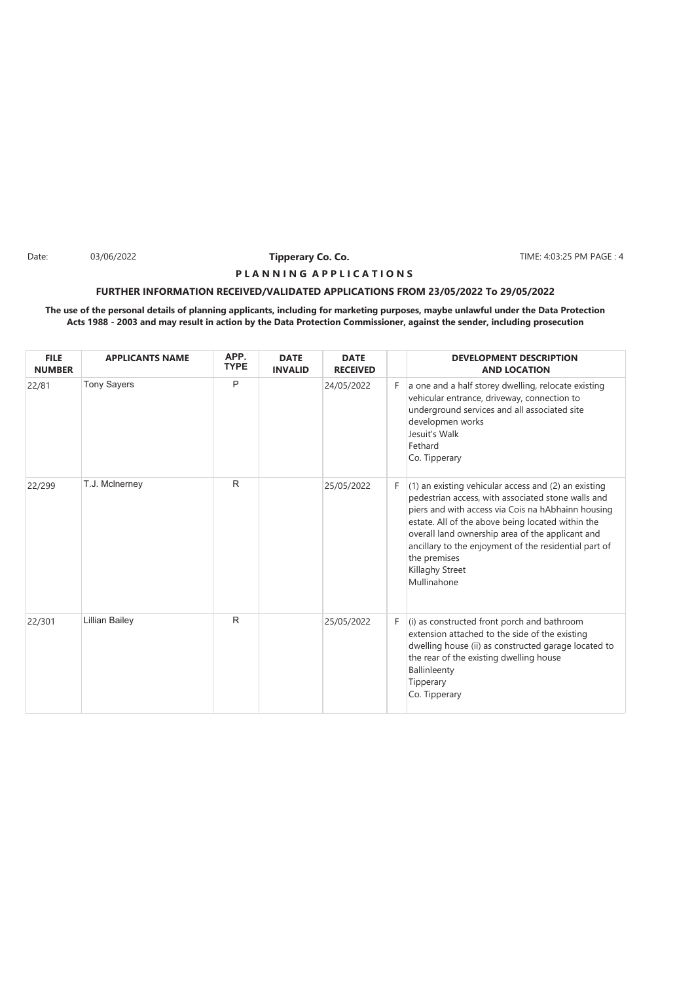Date: 03/06/2022 **Tipperary Co. Co. The Co. Co.** TIME: 4:03:25 PM PAGE : 4

### **P L A N N I N G A P P L I C A T I O N S**

### **FURTHER INFORMATION RECEIVED/VALIDATED APPLICATIONS FROM 23/05/2022 To 29/05/2022**

| <b>FILE</b><br><b>NUMBER</b> | <b>APPLICANTS NAME</b> | APP.<br><b>TYPE</b> | <b>DATE</b><br><b>INVALID</b> | <b>DATE</b><br><b>RECEIVED</b> |    | <b>DEVELOPMENT DESCRIPTION</b><br><b>AND LOCATION</b>                                                                                                                                                                                                                                                                                                                                    |
|------------------------------|------------------------|---------------------|-------------------------------|--------------------------------|----|------------------------------------------------------------------------------------------------------------------------------------------------------------------------------------------------------------------------------------------------------------------------------------------------------------------------------------------------------------------------------------------|
| 22/81                        | <b>Tony Sayers</b>     | P                   |                               | 24/05/2022                     | F. | a one and a half storey dwelling, relocate existing<br>vehicular entrance, driveway, connection to<br>underground services and all associated site<br>developmen works<br>Jesuit's Walk<br>Fethard<br>Co. Tipperary                                                                                                                                                                      |
| 22/299                       | T.J. McInerney         | R.                  |                               | 25/05/2022                     | F. | $(1)$ an existing vehicular access and $(2)$ an existing<br>pedestrian access, with associated stone walls and<br>piers and with access via Cois na hAbhainn housing<br>estate. All of the above being located within the<br>overall land ownership area of the applicant and<br>ancillary to the enjoyment of the residential part of<br>the premises<br>Killaghy Street<br>Mullinahone |
| 22/301                       | <b>Lillian Bailey</b>  | R.                  |                               | 25/05/2022                     | F. | (i) as constructed front porch and bathroom<br>extension attached to the side of the existing<br>dwelling house (ii) as constructed garage located to<br>the rear of the existing dwelling house<br>Ballinleenty<br>Tipperary<br>Co. Tipperary                                                                                                                                           |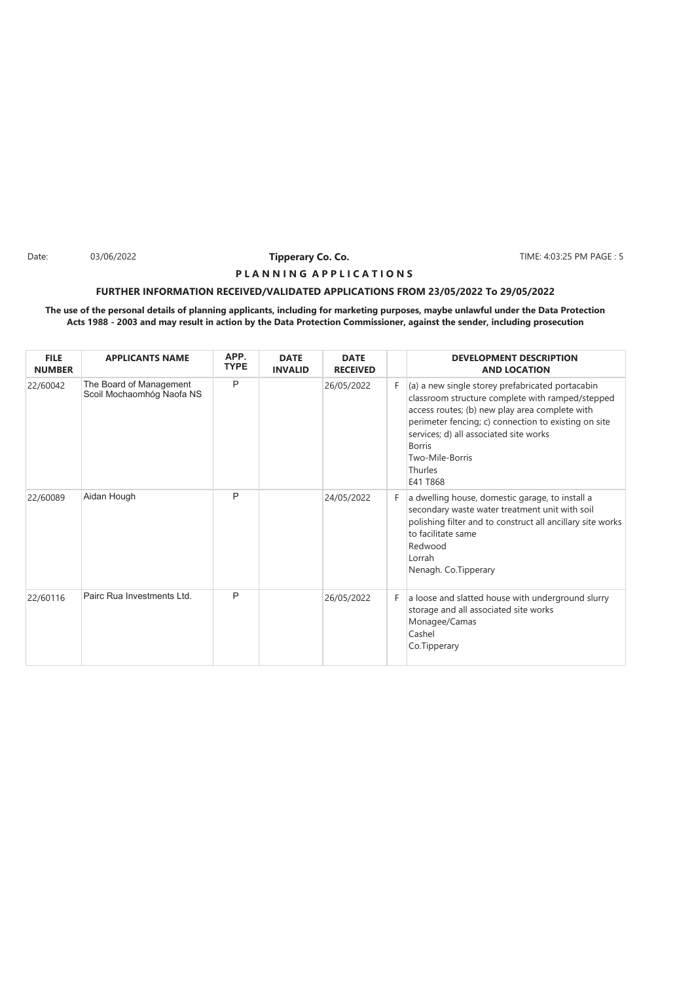Date: 03/06/2022 **Tipperary Co. Co. The Co. Co.** TIME: 4:03:25 PM PAGE : 5

### **P L A N N I N G A P P L I C A T I O N S**

### **FURTHER INFORMATION RECEIVED/VALIDATED APPLICATIONS FROM 23/05/2022 To 29/05/2022**

| <b>FILE</b><br><b>NUMBER</b> | <b>APPLICANTS NAME</b>                               | APP.<br><b>TYPE</b> | <b>DATE</b><br><b>INVALID</b> | <b>DATE</b><br><b>RECEIVED</b> |    | <b>DEVELOPMENT DESCRIPTION</b><br><b>AND LOCATION</b>                                                                                                                                                                                                                                                               |
|------------------------------|------------------------------------------------------|---------------------|-------------------------------|--------------------------------|----|---------------------------------------------------------------------------------------------------------------------------------------------------------------------------------------------------------------------------------------------------------------------------------------------------------------------|
| 22/60042                     | The Board of Management<br>Scoil Mochaomhóg Naofa NS | P                   |                               | 26/05/2022                     | F. | (a) a new single storey prefabricated portacabin<br>classroom structure complete with ramped/stepped<br>access routes; (b) new play area complete with<br>perimeter fencing; c) connection to existing on site<br>services; d) all associated site works<br><b>Borris</b><br>Two-Mile-Borris<br>Thurles<br>E41 T868 |
| 22/60089                     | Aidan Hough                                          | P                   |                               | 24/05/2022                     | F  | a dwelling house, domestic garage, to install a<br>secondary waste water treatment unit with soil<br>polishing filter and to construct all ancillary site works<br>to facilitate same<br>Redwood<br>Lorrah<br>Nenagh. Co.Tipperary                                                                                  |
| 22/60116                     | Pairc Rua Investments Ltd.                           | P                   |                               | 26/05/2022                     | F. | a loose and slatted house with underground slurry<br>storage and all associated site works<br>Monagee/Camas<br>Cashel<br>Co.Tipperary                                                                                                                                                                               |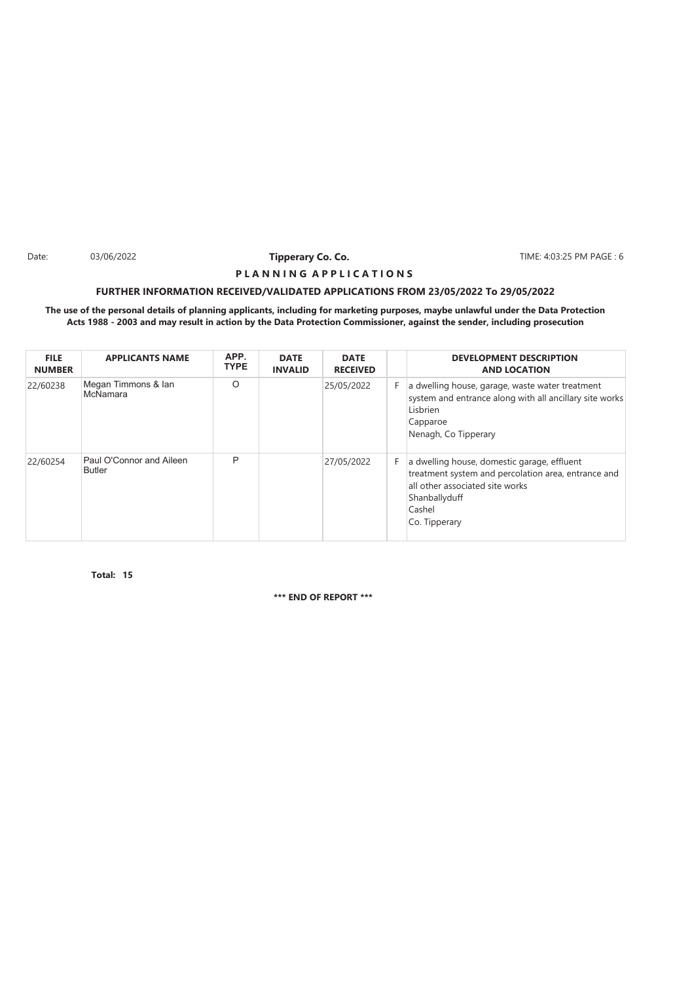Date: 03/06/2022 **Tipperary Co. Co. The Co. Co.** TIME: 4:03:25 PM PAGE : 6

### **P L A N N I N G A P P L I C A T I O N S**

### **FURTHER INFORMATION RECEIVED/VALIDATED APPLICATIONS FROM 23/05/2022 To 29/05/2022**

### **The use of the personal details of planning applicants, including for marketing purposes, maybe unlawful under the Data Protection Acts 1988 - 2003 and may result in action by the Data Protection Commissioner, against the sender, including prosecution**

| <b>FILE</b><br><b>NUMBER</b> | <b>APPLICANTS NAME</b>                    | APP.<br><b>TYPE</b> | <b>DATE</b><br><b>INVALID</b> | <b>DATE</b><br><b>RECEIVED</b> |    | <b>DEVELOPMENT DESCRIPTION</b><br><b>AND LOCATION</b>                                                                                                                             |
|------------------------------|-------------------------------------------|---------------------|-------------------------------|--------------------------------|----|-----------------------------------------------------------------------------------------------------------------------------------------------------------------------------------|
| 22/60238                     | Megan Timmons & Ian<br>McNamara           | O                   |                               | 25/05/2022                     | F. | a dwelling house, garage, waste water treatment<br>system and entrance along with all ancillary site works<br>Lisbrien<br>Capparoe<br>Nenagh, Co Tipperary                        |
| 22/60254                     | Paul O'Connor and Aileen<br><b>Butler</b> | P                   |                               | 27/05/2022                     | F. | a dwelling house, domestic garage, effluent<br>treatment system and percolation area, entrance and<br>all other associated site works<br>Shanballyduff<br>Cashel<br>Co. Tipperary |

**15 Total:**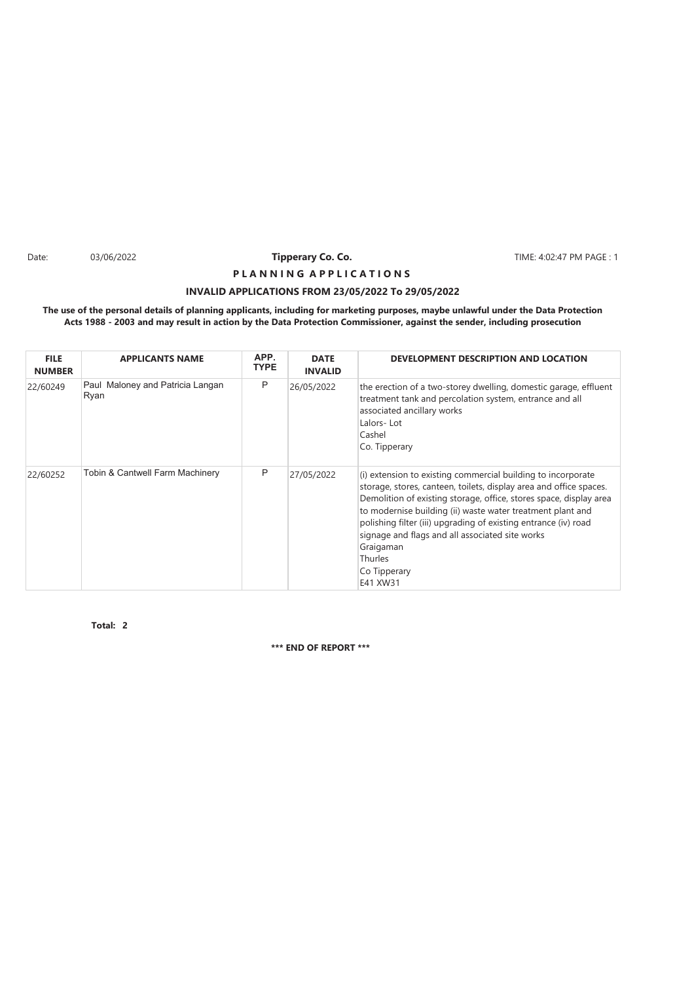Date: 03/06/2022 **Tipperary Co. Co. The Co. TIME:** 4:02:47 PM PAGE : 1

# **INVALID APPLICATIONS FROM 23/05/2022 To 29/05/2022 P L A N N I N G A P P L I C A T I O N S**

### **The use of the personal details of planning applicants, including for marketing purposes, maybe unlawful under the Data Protection Acts 1988 - 2003 and may result in action by the Data Protection Commissioner, against the sender, including prosecution**

| <b>FILE</b><br><b>NUMBER</b> | <b>APPLICANTS NAME</b>                   | APP.<br><b>TYPE</b> | <b>DATE</b><br><b>INVALID</b> | DEVELOPMENT DESCRIPTION AND LOCATION                                                                                                                                                                                                                                                                                                                                                                                                             |
|------------------------------|------------------------------------------|---------------------|-------------------------------|--------------------------------------------------------------------------------------------------------------------------------------------------------------------------------------------------------------------------------------------------------------------------------------------------------------------------------------------------------------------------------------------------------------------------------------------------|
| 22/60249                     | Paul Maloney and Patricia Langan<br>Ryan | P                   | 26/05/2022                    | the erection of a two-storey dwelling, domestic garage, effluent<br>treatment tank and percolation system, entrance and all<br>associated ancillary works<br>Lalors-Lot<br>Cashel<br>Co. Tipperary                                                                                                                                                                                                                                               |
| 22/60252                     | Tobin & Cantwell Farm Machinery          | P                   | 27/05/2022                    | (i) extension to existing commercial building to incorporate<br>storage, stores, canteen, toilets, display area and office spaces.<br>Demolition of existing storage, office, stores space, display area<br>to modernise building (ii) waste water treatment plant and<br>polishing filter (iii) upgrading of existing entrance (iv) road<br>signage and flags and all associated site works<br>Graigaman<br>Thurles<br>Co Tipperary<br>E41 XW31 |

**2 Total:**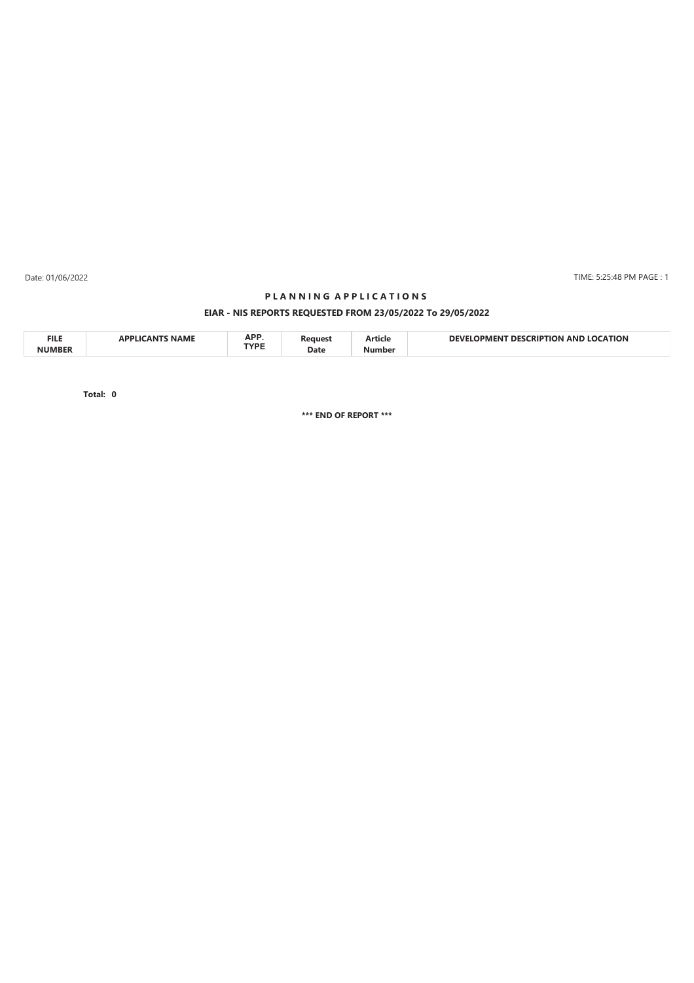Date: 01/06/2022

### TIME: 5:25:48 PM PAGE : 1

# **EIAR - NIS REPORTS REQUESTED FROM 23/05/2022 To 29/05/2022 P L A N N I N G A P P L I C A T I O N S**

| <b>FILE</b><br><b>NIIMRED</b> |  | $\mathbf{A}$<br>AFI<br>TVDE<br>. | Date | нск | ΓΙΟΝ<br>ANI<br>ч н.<br>m |
|-------------------------------|--|----------------------------------|------|-----|--------------------------|
|-------------------------------|--|----------------------------------|------|-----|--------------------------|

**0 Total:**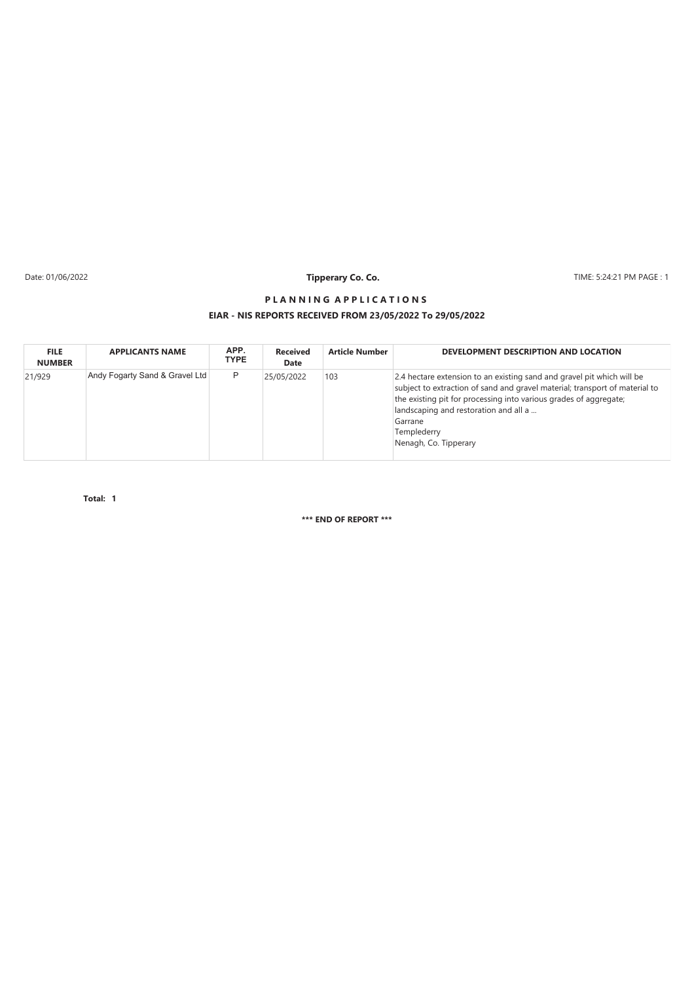Date: 01/06/2022

# **Tipperary Co. Co.**

TIME: 5:24:21 PM PAGE : 1

### **EIAR - NIS REPORTS RECEIVED FROM 23/05/2022 To 29/05/2022 P L A N N I N G A P P L I C A T I O N S**

| <b>FILE</b><br><b>NUMBER</b> | <b>APPLICANTS NAME</b>         | APP.<br><b>TYPE</b> | <b>Received</b><br>Date | <b>Article Number</b> | DEVELOPMENT DESCRIPTION AND LOCATION                                                                                                                                                                                                                                                                                   |
|------------------------------|--------------------------------|---------------------|-------------------------|-----------------------|------------------------------------------------------------------------------------------------------------------------------------------------------------------------------------------------------------------------------------------------------------------------------------------------------------------------|
| 21/929                       | Andy Fogarty Sand & Gravel Ltd | P                   | 25/05/2022              | 103                   | 2.4 hectare extension to an existing sand and gravel pit which will be<br>subject to extraction of sand and gravel material; transport of material to<br>the existing pit for processing into various grades of aggregate;<br>landscaping and restoration and all a<br>Garrane<br>Templederry<br>Nenagh, Co. Tipperary |

**1 Total:**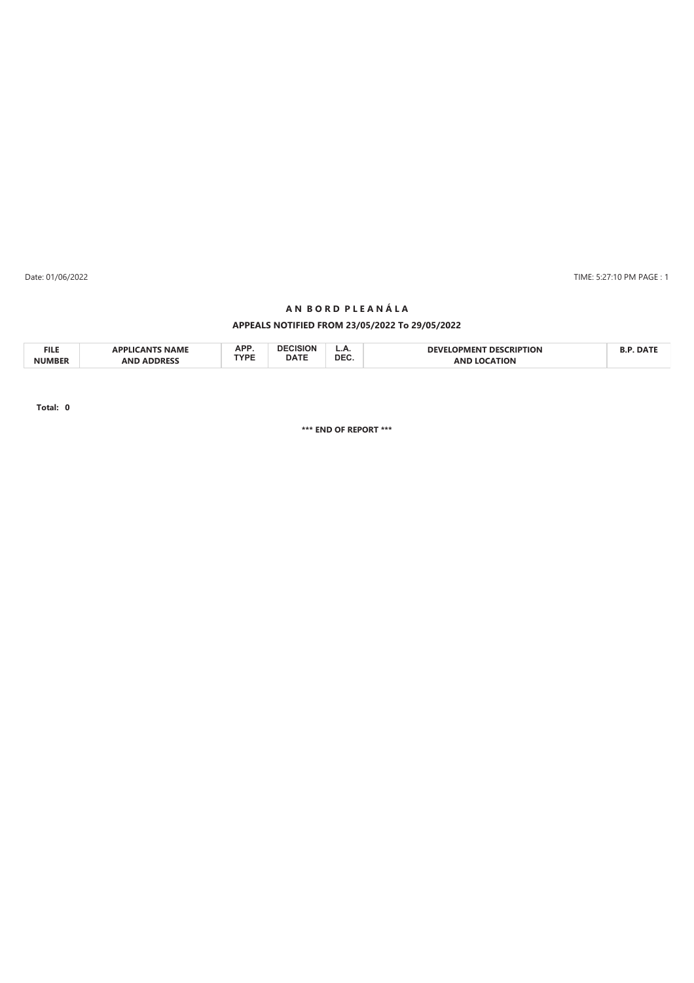Date: 01/06/2022 TIME: 5:27:10 PM PAGE : 1

### **A N B O R D P L E A N Á L A**

### **APPEALS NOTIFIED FROM 23/05/2022 To 29/05/2022**

| <b>FILE</b>   | <b>NAME</b><br><b>AN</b><br><b>ADDIIC</b> | A DD<br>AFI<br>TVDE |             | <b></b> | <b>PTION</b><br>ריד<br>∶RIP<br><b>OPMFN</b><br>DESI | DA. |
|---------------|-------------------------------------------|---------------------|-------------|---------|-----------------------------------------------------|-----|
| <b>NUMBET</b> | <b>ANF</b><br>. AP.<br>יחה                |                     | <b>DATE</b> | DEC.    | τιον                                                |     |

**Total: 0**